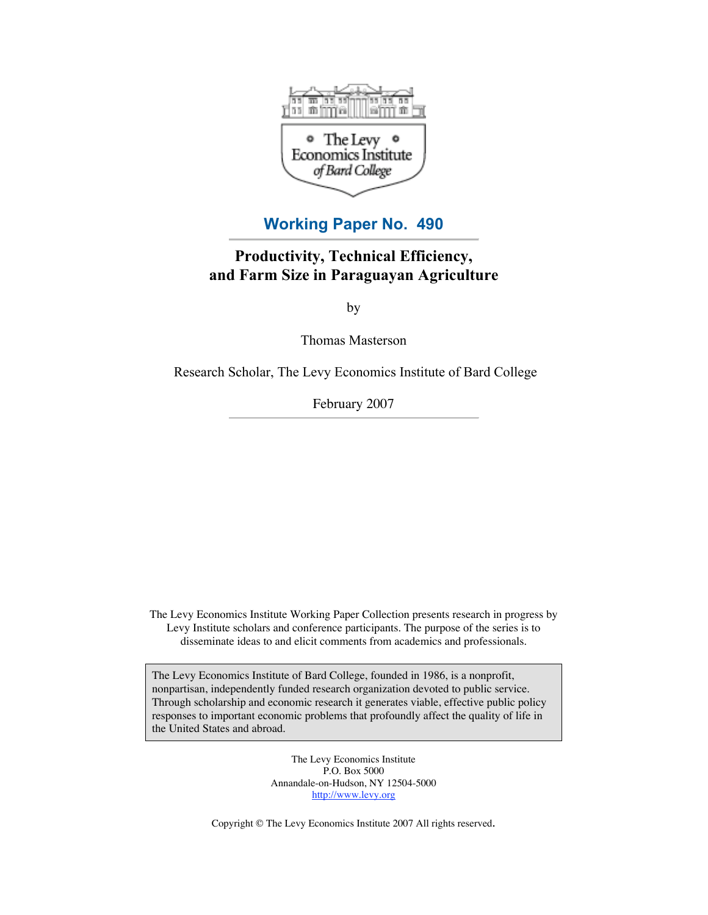

**Working Paper No. 490**

## Productivity, Technical Efficiency, and Farm Size in Paraguayan Agriculture

by

Thomas Masterson

Research Scholar, The Levy Economics Institute of Bard College

February 2007

The Levy Economics Institute Working Paper Collection presents research in progress by Levy Institute scholars and conference participants. The purpose of the series is to disseminate ideas to and elicit comments from academics and professionals.

The Levy Economics Institute of Bard College, founded in 1986, is a nonprofit, nonpartisan, independently funded research organization devoted to public service. Through scholarship and economic research it generates viable, effective public policy responses to important economic problems that profoundly affect the quality of life in the United States and abroad.

> The Levy Economics Institute P.O. Box 5000 Annandale-on-Hudson, NY 12504-5000 http://www.levy.org

Copyright © The Levy Economics Institute 2007 All rights reserved.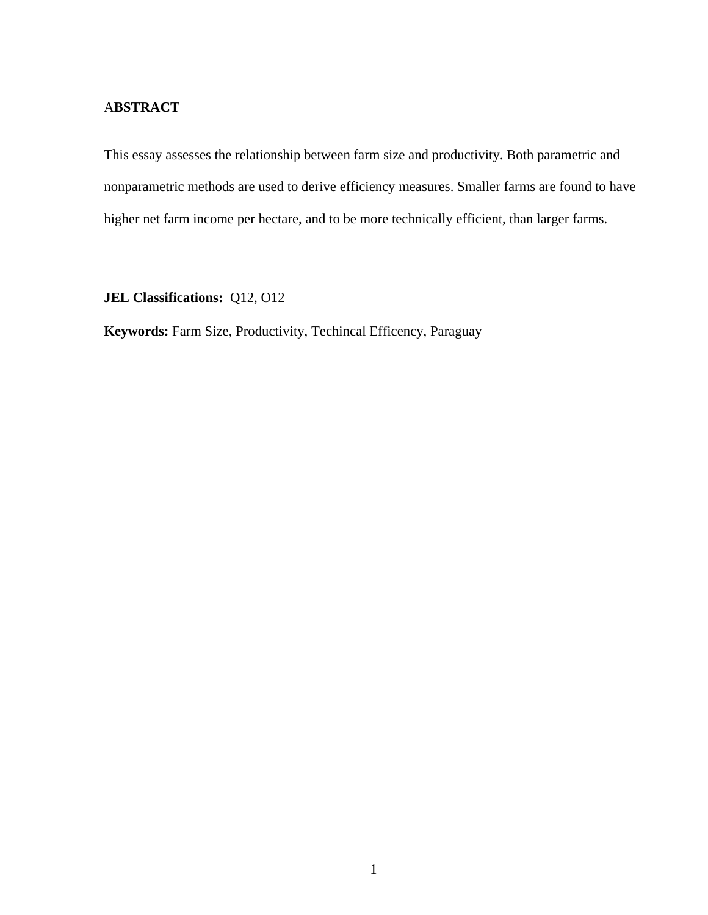### A**BSTRACT**

This essay assesses the relationship between farm size and productivity. Both parametric and nonparametric methods are used to derive efficiency measures. Smaller farms are found to have higher net farm income per hectare, and to be more technically efficient, than larger farms.

**JEL Classifications:** Q12, O12

**Keywords:** Farm Size, Productivity, Techincal Efficency, Paraguay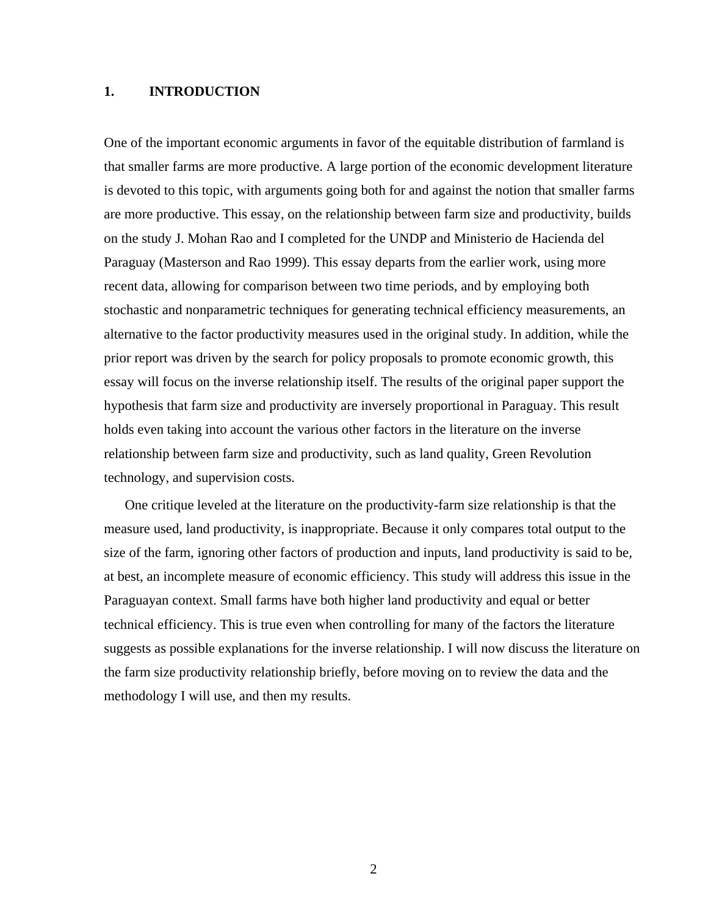## **1. INTRODUCTION**

One of the important economic arguments in favor of the equitable distribution of farmland is that smaller farms are more productive. A large portion of the economic development literature is devoted to this topic, with arguments going both for and against the notion that smaller farms are more productive. This essay, on the relationship between farm size and productivity, builds on the study J. Mohan Rao and I completed for the UNDP and Ministerio de Hacienda del Paraguay (Masterson and Rao 1999). This essay departs from the earlier work, using more recent data, allowing for comparison between two time periods, and by employing both stochastic and nonparametric techniques for generating technical efficiency measurements, an alternative to the factor productivity measures used in the original study. In addition, while the prior report was driven by the search for policy proposals to promote economic growth, this essay will focus on the inverse relationship itself. The results of the original paper support the hypothesis that farm size and productivity are inversely proportional in Paraguay. This result holds even taking into account the various other factors in the literature on the inverse relationship between farm size and productivity, such as land quality, Green Revolution technology, and supervision costs.

One critique leveled at the literature on the productivity-farm size relationship is that the measure used, land productivity, is inappropriate. Because it only compares total output to the size of the farm, ignoring other factors of production and inputs, land productivity is said to be, at best, an incomplete measure of economic efficiency. This study will address this issue in the Paraguayan context. Small farms have both higher land productivity and equal or better technical efficiency. This is true even when controlling for many of the factors the literature suggests as possible explanations for the inverse relationship. I will now discuss the literature on the farm size productivity relationship briefly, before moving on to review the data and the methodology I will use, and then my results.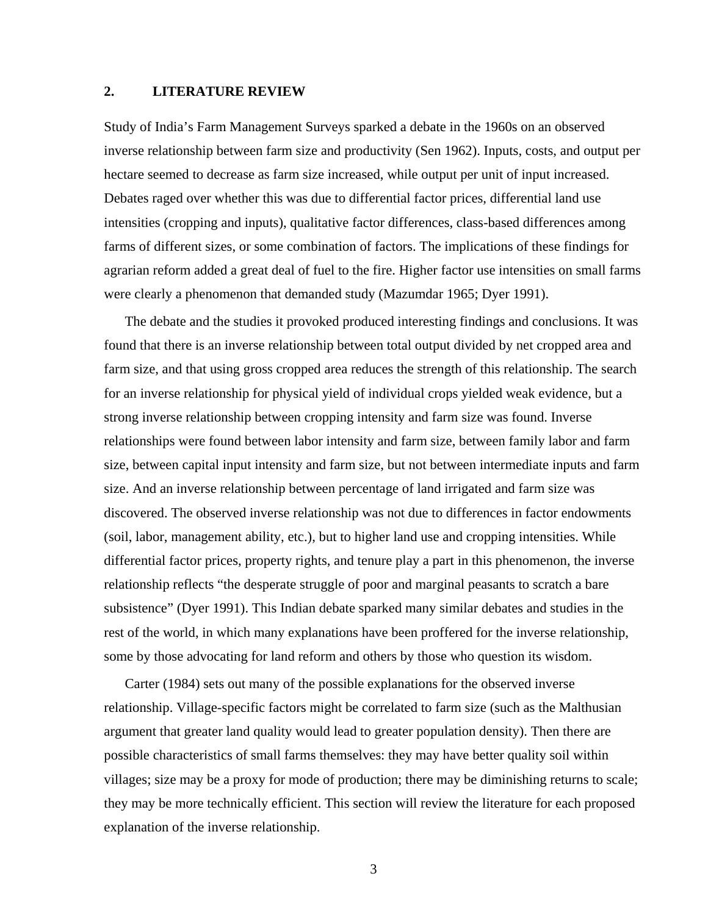### **2. LITERATURE REVIEW**

Study of India's Farm Management Surveys sparked a debate in the 1960s on an observed inverse relationship between farm size and productivity (Sen 1962). Inputs, costs, and output per hectare seemed to decrease as farm size increased, while output per unit of input increased. Debates raged over whether this was due to differential factor prices, differential land use intensities (cropping and inputs), qualitative factor differences, class-based differences among farms of different sizes, or some combination of factors. The implications of these findings for agrarian reform added a great deal of fuel to the fire. Higher factor use intensities on small farms were clearly a phenomenon that demanded study (Mazumdar 1965; Dyer 1991).

The debate and the studies it provoked produced interesting findings and conclusions. It was found that there is an inverse relationship between total output divided by net cropped area and farm size, and that using gross cropped area reduces the strength of this relationship. The search for an inverse relationship for physical yield of individual crops yielded weak evidence, but a strong inverse relationship between cropping intensity and farm size was found. Inverse relationships were found between labor intensity and farm size, between family labor and farm size, between capital input intensity and farm size, but not between intermediate inputs and farm size. And an inverse relationship between percentage of land irrigated and farm size was discovered. The observed inverse relationship was not due to differences in factor endowments (soil, labor, management ability, etc.), but to higher land use and cropping intensities. While differential factor prices, property rights, and tenure play a part in this phenomenon, the inverse relationship reflects "the desperate struggle of poor and marginal peasants to scratch a bare subsistence" (Dyer 1991). This Indian debate sparked many similar debates and studies in the rest of the world, in which many explanations have been proffered for the inverse relationship, some by those advocating for land reform and others by those who question its wisdom.

Carter (1984) sets out many of the possible explanations for the observed inverse relationship. Village-specific factors might be correlated to farm size (such as the Malthusian argument that greater land quality would lead to greater population density). Then there are possible characteristics of small farms themselves: they may have better quality soil within villages; size may be a proxy for mode of production; there may be diminishing returns to scale; they may be more technically efficient. This section will review the literature for each proposed explanation of the inverse relationship.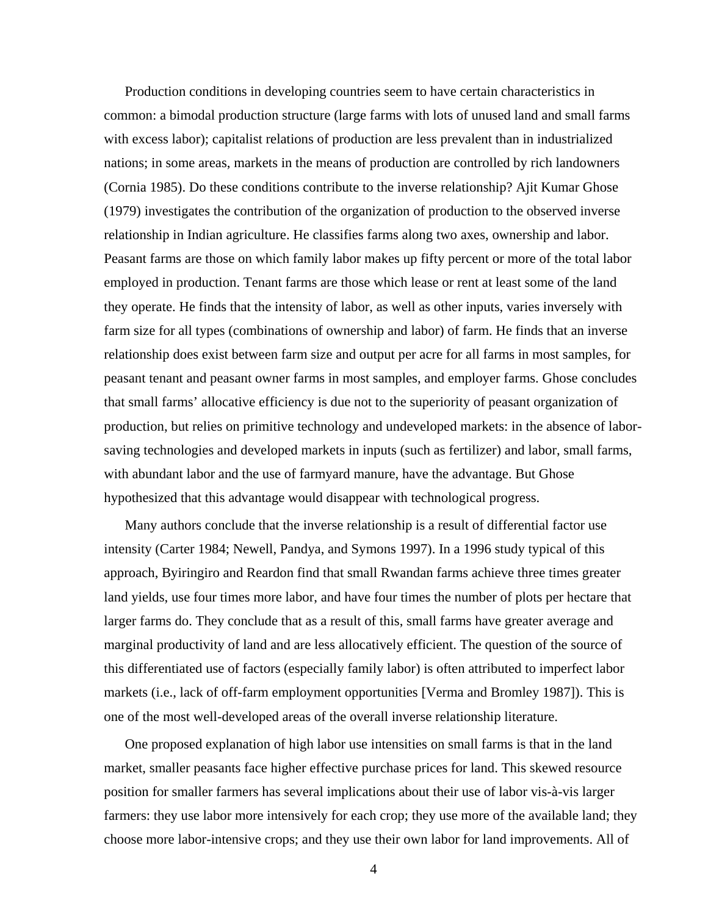Production conditions in developing countries seem to have certain characteristics in common: a bimodal production structure (large farms with lots of unused land and small farms with excess labor); capitalist relations of production are less prevalent than in industrialized nations; in some areas, markets in the means of production are controlled by rich landowners (Cornia 1985). Do these conditions contribute to the inverse relationship? Ajit Kumar Ghose (1979) investigates the contribution of the organization of production to the observed inverse relationship in Indian agriculture. He classifies farms along two axes, ownership and labor. Peasant farms are those on which family labor makes up fifty percent or more of the total labor employed in production. Tenant farms are those which lease or rent at least some of the land they operate. He finds that the intensity of labor, as well as other inputs, varies inversely with farm size for all types (combinations of ownership and labor) of farm. He finds that an inverse relationship does exist between farm size and output per acre for all farms in most samples, for peasant tenant and peasant owner farms in most samples, and employer farms. Ghose concludes that small farms' allocative efficiency is due not to the superiority of peasant organization of production, but relies on primitive technology and undeveloped markets: in the absence of laborsaving technologies and developed markets in inputs (such as fertilizer) and labor, small farms, with abundant labor and the use of farmyard manure, have the advantage. But Ghose hypothesized that this advantage would disappear with technological progress.

Many authors conclude that the inverse relationship is a result of differential factor use intensity (Carter 1984; Newell, Pandya, and Symons 1997). In a 1996 study typical of this approach, Byiringiro and Reardon find that small Rwandan farms achieve three times greater land yields, use four times more labor, and have four times the number of plots per hectare that larger farms do. They conclude that as a result of this, small farms have greater average and marginal productivity of land and are less allocatively efficient. The question of the source of this differentiated use of factors (especially family labor) is often attributed to imperfect labor markets (i.e., lack of off-farm employment opportunities [Verma and Bromley 1987]). This is one of the most well-developed areas of the overall inverse relationship literature.

One proposed explanation of high labor use intensities on small farms is that in the land market, smaller peasants face higher effective purchase prices for land. This skewed resource position for smaller farmers has several implications about their use of labor vis-à-vis larger farmers: they use labor more intensively for each crop; they use more of the available land; they choose more labor-intensive crops; and they use their own labor for land improvements. All of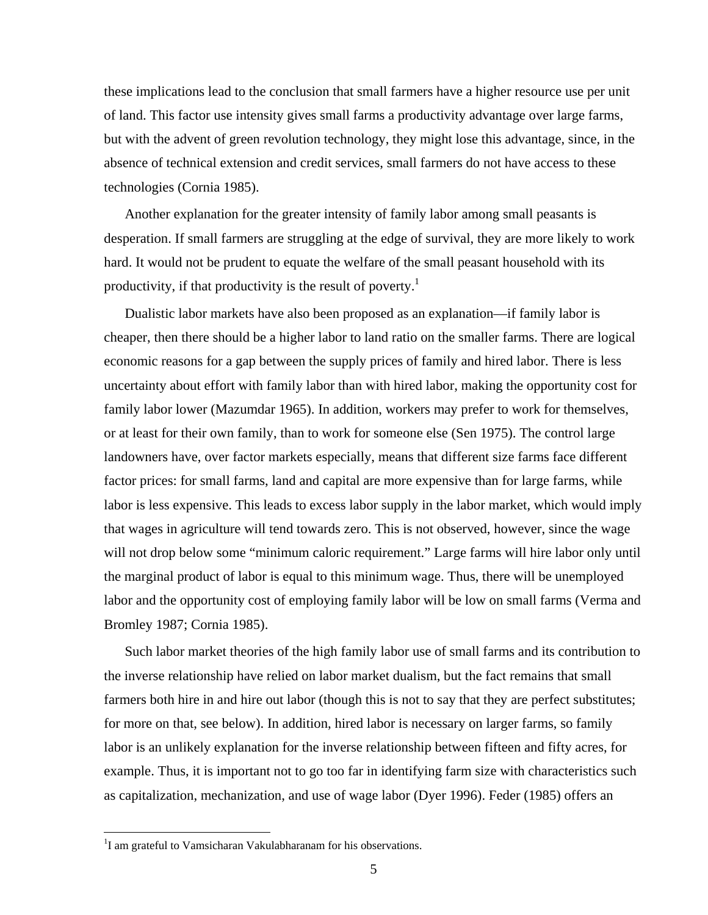these implications lead to the conclusion that small farmers have a higher resource use per unit of land. This factor use intensity gives small farms a productivity advantage over large farms, but with the advent of green revolution technology, they might lose this advantage, since, in the absence of technical extension and credit services, small farmers do not have access to these technologies (Cornia 1985).

Another explanation for the greater intensity of family labor among small peasants is desperation. If small farmers are struggling at the edge of survival, they are more likely to work hard. It would not be prudent to equate the welfare of the small peasant household with its productivity, if that productivity is the result of poverty.<sup>[1](#page-5-0)</sup>

Dualistic labor markets have also been proposed as an explanation—if family labor is cheaper, then there should be a higher labor to land ratio on the smaller farms. There are logical economic reasons for a gap between the supply prices of family and hired labor. There is less uncertainty about effort with family labor than with hired labor, making the opportunity cost for family labor lower (Mazumdar 1965). In addition, workers may prefer to work for themselves, or at least for their own family, than to work for someone else (Sen 1975). The control large landowners have, over factor markets especially, means that different size farms face different factor prices: for small farms, land and capital are more expensive than for large farms, while labor is less expensive. This leads to excess labor supply in the labor market, which would imply that wages in agriculture will tend towards zero. This is not observed, however, since the wage will not drop below some "minimum caloric requirement." Large farms will hire labor only until the marginal product of labor is equal to this minimum wage. Thus, there will be unemployed labor and the opportunity cost of employing family labor will be low on small farms (Verma and Bromley 1987; Cornia 1985).

Such labor market theories of the high family labor use of small farms and its contribution to the inverse relationship have relied on labor market dualism, but the fact remains that small farmers both hire in and hire out labor (though this is not to say that they are perfect substitutes; for more on that, see below). In addition, hired labor is necessary on larger farms, so family labor is an unlikely explanation for the inverse relationship between fifteen and fifty acres, for example. Thus, it is important not to go too far in identifying farm size with characteristics such as capitalization, mechanization, and use of wage labor (Dyer 1996). Feder (1985) offers an

<span id="page-5-0"></span><sup>&</sup>lt;sup>1</sup>I am grateful to Vamsicharan Vakulabharanam for his observations.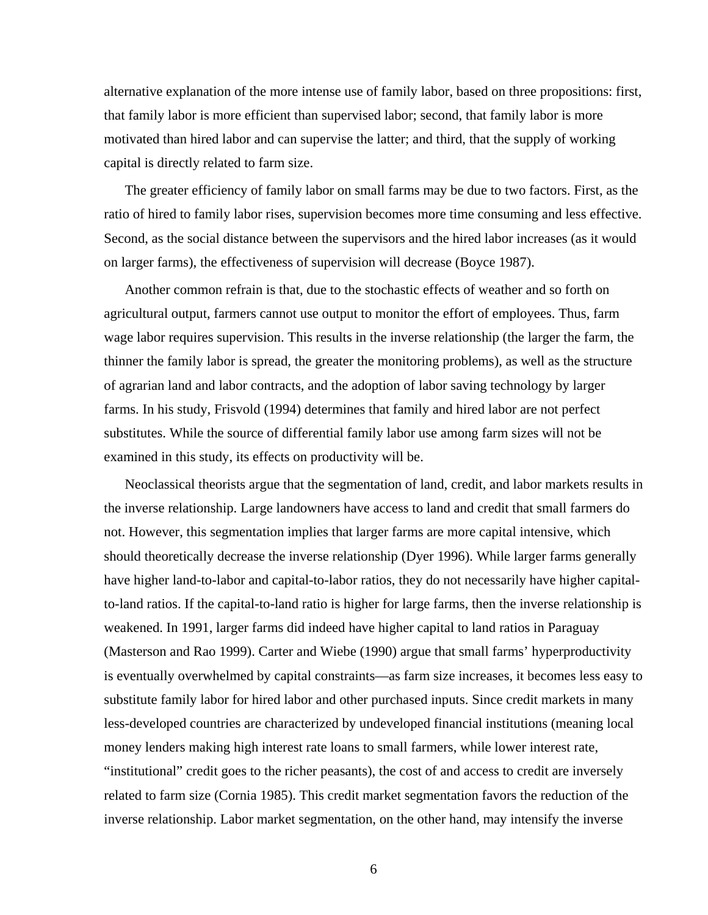alternative explanation of the more intense use of family labor, based on three propositions: first, that family labor is more efficient than supervised labor; second, that family labor is more motivated than hired labor and can supervise the latter; and third, that the supply of working capital is directly related to farm size.

The greater efficiency of family labor on small farms may be due to two factors. First, as the ratio of hired to family labor rises, supervision becomes more time consuming and less effective. Second, as the social distance between the supervisors and the hired labor increases (as it would on larger farms), the effectiveness of supervision will decrease (Boyce 1987).

Another common refrain is that, due to the stochastic effects of weather and so forth on agricultural output, farmers cannot use output to monitor the effort of employees. Thus, farm wage labor requires supervision. This results in the inverse relationship (the larger the farm, the thinner the family labor is spread, the greater the monitoring problems), as well as the structure of agrarian land and labor contracts, and the adoption of labor saving technology by larger farms. In his study, Frisvold (1994) determines that family and hired labor are not perfect substitutes. While the source of differential family labor use among farm sizes will not be examined in this study, its effects on productivity will be.

Neoclassical theorists argue that the segmentation of land, credit, and labor markets results in the inverse relationship. Large landowners have access to land and credit that small farmers do not. However, this segmentation implies that larger farms are more capital intensive, which should theoretically decrease the inverse relationship (Dyer 1996). While larger farms generally have higher land-to-labor and capital-to-labor ratios, they do not necessarily have higher capitalto-land ratios. If the capital-to-land ratio is higher for large farms, then the inverse relationship is weakened. In 1991, larger farms did indeed have higher capital to land ratios in Paraguay (Masterson and Rao 1999). Carter and Wiebe (1990) argue that small farms' hyperproductivity is eventually overwhelmed by capital constraints—as farm size increases, it becomes less easy to substitute family labor for hired labor and other purchased inputs. Since credit markets in many less-developed countries are characterized by undeveloped financial institutions (meaning local money lenders making high interest rate loans to small farmers, while lower interest rate, "institutional" credit goes to the richer peasants), the cost of and access to credit are inversely related to farm size (Cornia 1985). This credit market segmentation favors the reduction of the inverse relationship. Labor market segmentation, on the other hand, may intensify the inverse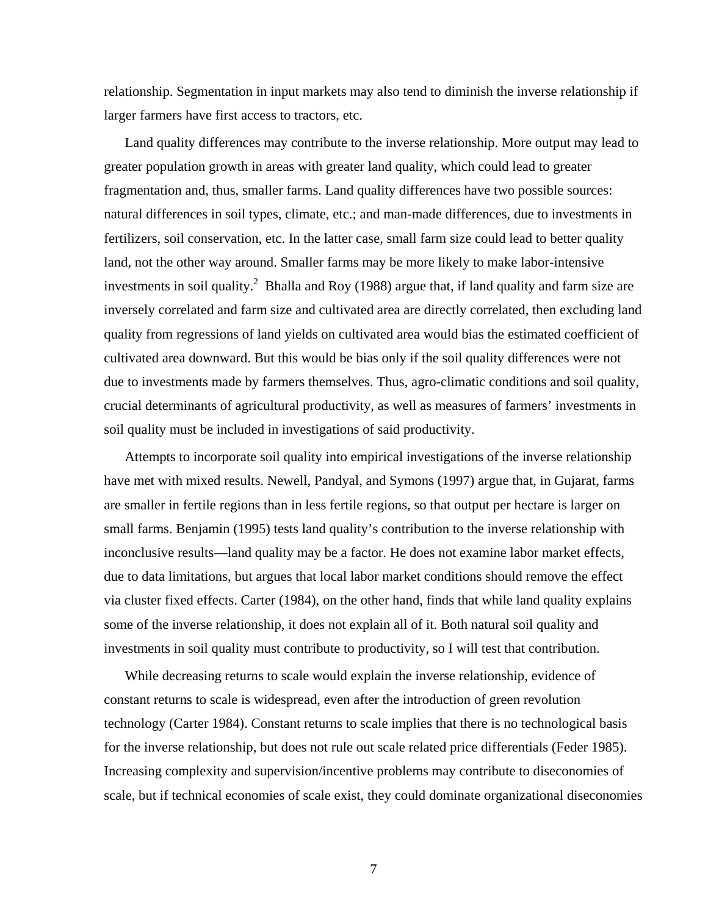relationship. Segmentation in input markets may also tend to diminish the inverse relationship if larger farmers have first access to tractors, etc.

Land quality differences may contribute to the inverse relationship. More output may lead to greater population growth in areas with greater land quality, which could lead to greater fragmentation and, thus, smaller farms. Land quality differences have two possible sources: natural differences in soil types, climate, etc.; and man-made differences, due to investments in fertilizers, soil conservation, etc. In the latter case, small farm size could lead to better quality land, not the other way around. Smaller farms may be more likely to make labor-intensive investments in soil quality.<sup>[2](#page-7-0)</sup> Bhalla and Roy (1988) argue that, if land quality and farm size are inversely correlated and farm size and cultivated area are directly correlated, then excluding land quality from regressions of land yields on cultivated area would bias the estimated coefficient of cultivated area downward. But this would be bias only if the soil quality differences were not due to investments made by farmers themselves. Thus, agro-climatic conditions and soil quality, crucial determinants of agricultural productivity, as well as measures of farmers' investments in soil quality must be included in investigations of said productivity.

Attempts to incorporate soil quality into empirical investigations of the inverse relationship have met with mixed results. Newell, Pandyal, and Symons (1997) argue that, in Gujarat, farms are smaller in fertile regions than in less fertile regions, so that output per hectare is larger on small farms. Benjamin (1995) tests land quality's contribution to the inverse relationship with inconclusive results—land quality may be a factor. He does not examine labor market effects, due to data limitations, but argues that local labor market conditions should remove the effect via cluster fixed effects. Carter (1984), on the other hand, finds that while land quality explains some of the inverse relationship, it does not explain all of it. Both natural soil quality and investments in soil quality must contribute to productivity, so I will test that contribution.

<span id="page-7-0"></span>While decreasing returns to scale would explain the inverse relationship, evidence of constant returns to scale is widespread, even after the introduction of green revolution technology (Carter 1984). Constant returns to scale implies that there is no technological basis for the inverse relationship, but does not rule out scale related price differentials (Feder 1985). Increasing complexity and supervision/incentive problems may contribute to diseconomies of scale, but if technical economies of scale exist, they could dominate organizational diseconomies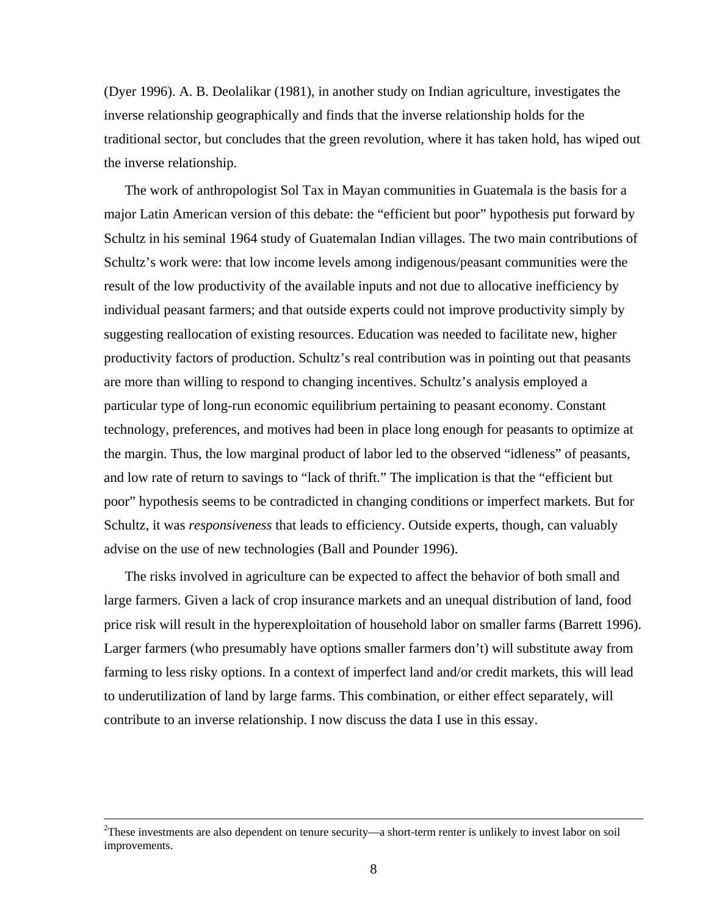(Dyer 1996). A. B. Deolalikar (1981), in another study on Indian agriculture, investigates the inverse relationship geographically and finds that the inverse relationship holds for the traditional sector, but concludes that the green revolution, where it has taken hold, has wiped out the inverse relationship.

The work of anthropologist Sol Tax in Mayan communities in Guatemala is the basis for a major Latin American version of this debate: the "efficient but poor" hypothesis put forward by Schultz in his seminal 1964 study of Guatemalan Indian villages. The two main contributions of Schultz's work were: that low income levels among indigenous/peasant communities were the result of the low productivity of the available inputs and not due to allocative inefficiency by individual peasant farmers; and that outside experts could not improve productivity simply by suggesting reallocation of existing resources. Education was needed to facilitate new, higher productivity factors of production. Schultz's real contribution was in pointing out that peasants are more than willing to respond to changing incentives. Schultz's analysis employed a particular type of long-run economic equilibrium pertaining to peasant economy. Constant technology, preferences, and motives had been in place long enough for peasants to optimize at the margin. Thus, the low marginal product of labor led to the observed "idleness" of peasants, and low rate of return to savings to "lack of thrift." The implication is that the "efficient but poor" hypothesis seems to be contradicted in changing conditions or imperfect markets. But for Schultz, it was *responsiveness* that leads to efficiency. Outside experts, though, can valuably advise on the use of new technologies (Ball and Pounder 1996).

The risks involved in agriculture can be expected to affect the behavior of both small and large farmers. Given a lack of crop insurance markets and an unequal distribution of land, food price risk will result in the hyperexploitation of household labor on smaller farms (Barrett 1996). Larger farmers (who presumably have options smaller farmers don't) will substitute away from farming to less risky options. In a context of imperfect land and/or credit markets, this will lead to underutilization of land by large farms. This combination, or either effect separately, will contribute to an inverse relationship. I now discuss the data I use in this essay.

 $\frac{1}{2}$  $2$ These investments are also dependent on tenure security—a short-term renter is unlikely to invest labor on soil improvements.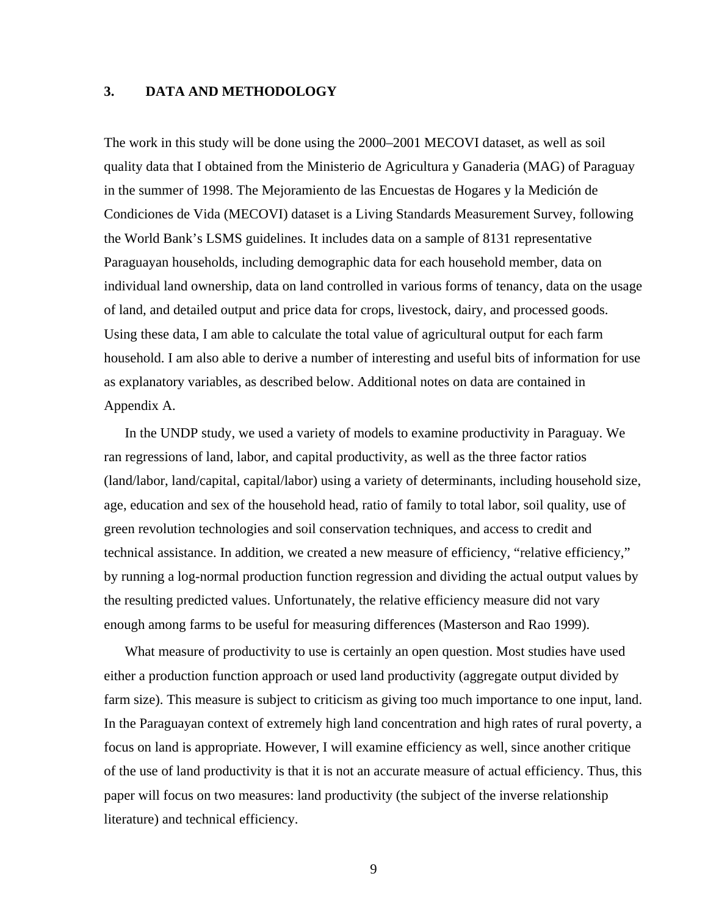## **3. DATA AND METHODOLOGY**

The work in this study will be done using the 2000–2001 MECOVI dataset, as well as soil quality data that I obtained from the Ministerio de Agricultura y Ganaderia (MAG) of Paraguay in the summer of 1998. The Mejoramiento de las Encuestas de Hogares y la Medición de Condiciones de Vida (MECOVI) dataset is a Living Standards Measurement Survey, following the World Bank's LSMS guidelines. It includes data on a sample of 8131 representative Paraguayan households, including demographic data for each household member, data on individual land ownership, data on land controlled in various forms of tenancy, data on the usage of land, and detailed output and price data for crops, livestock, dairy, and processed goods. Using these data, I am able to calculate the total value of agricultural output for each farm household. I am also able to derive a number of interesting and useful bits of information for use as explanatory variables, as described below. Additional notes on data are contained in Appendix A.

In the UNDP study, we used a variety of models to examine productivity in Paraguay. We ran regressions of land, labor, and capital productivity, as well as the three factor ratios (land/labor, land/capital, capital/labor) using a variety of determinants, including household size, age, education and sex of the household head, ratio of family to total labor, soil quality, use of green revolution technologies and soil conservation techniques, and access to credit and technical assistance. In addition, we created a new measure of efficiency, "relative efficiency," by running a log-normal production function regression and dividing the actual output values by the resulting predicted values. Unfortunately, the relative efficiency measure did not vary enough among farms to be useful for measuring differences (Masterson and Rao 1999).

What measure of productivity to use is certainly an open question. Most studies have used either a production function approach or used land productivity (aggregate output divided by farm size). This measure is subject to criticism as giving too much importance to one input, land. In the Paraguayan context of extremely high land concentration and high rates of rural poverty, a focus on land is appropriate. However, I will examine efficiency as well, since another critique of the use of land productivity is that it is not an accurate measure of actual efficiency. Thus, this paper will focus on two measures: land productivity (the subject of the inverse relationship literature) and technical efficiency.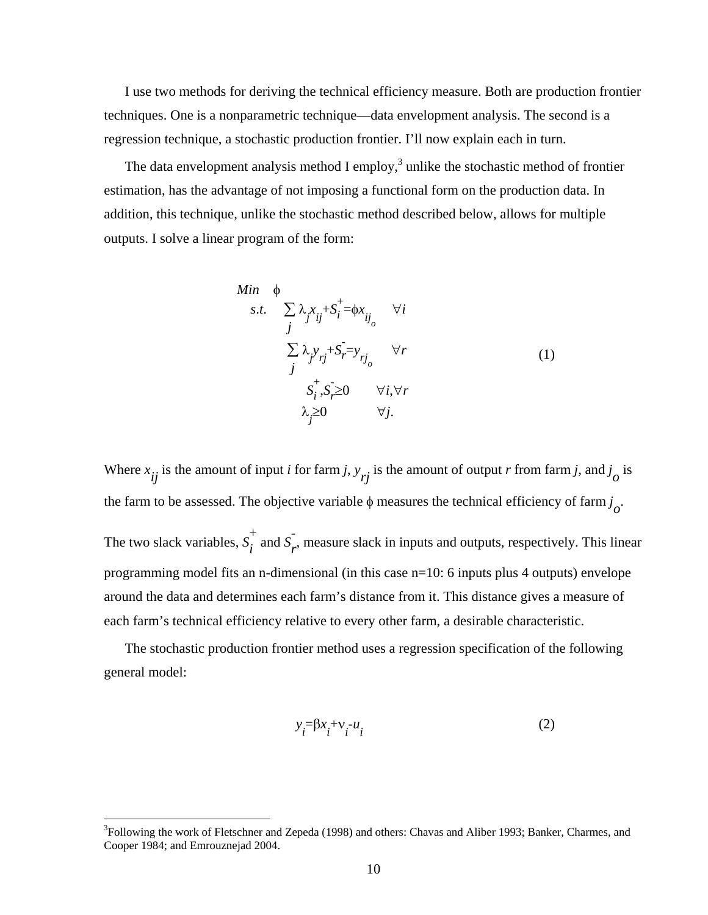I use two methods for deriving the technical efficiency measure. Both are production frontier techniques. One is a nonparametric technique—data envelopment analysis. The second is a regression technique, a stochastic production frontier. I'll now explain each in turn.

The data envelopment analysis method I employ,<sup>3</sup> unlike the stochastic method of frontier estimation, has the advantage of not imposing a functional form on the production data. In addition, this technique, unlike the stochastic method described below, allows for multiple outputs. I solve a linear program of the form:

Min 
$$
\phi
$$
  
\ns.t.  $\sum_{j} \lambda_{j} x_{ij} + S_{i}^{\dagger} = \phi x_{ij} \quad \forall i$   
\n $\sum_{j} \lambda_{j} y_{rj} + S_{r}^{\dagger} = y_{rj} \quad \forall r$   
\n1)  
\n $S_{i}^{\dagger}, S_{i} \geq 0 \quad \forall i, \forall r$   
\n $\lambda_{j} \geq 0 \quad \forall j.$  (1)

Where  $x_{ij}$  is the amount of input *i* for farm *j*,  $y_{ij}$  is the amount of output *r* from farm *j*, and  $j_o$  is the farm to be assessed. The objective variable  $\phi$  measures the technical efficiency of farm  $j_o$ . The two slack variables, *S*  $^{+}$  $\int$ *i* and *S r* , measure slack in inputs and outputs, respectively. This linear programming model fits an n-dimensional (in this case  $n=10$ : 6 inputs plus 4 outputs) envelope around the data and determines each farm's distance from it. This distance gives a measure of each farm's technical efficiency relative to every other farm, a desirable characteristic.

The stochastic production frontier method uses a regression specification of the following general model:

$$
y_i = \beta x_i + v_i - u_i \tag{2}
$$

<u>.</u>

<span id="page-10-0"></span><sup>&</sup>lt;sup>3</sup>Following the work of Fletschner and Zepeda (1998) and others: Chavas and Aliber 1993; Banker, Charmes, and Cooper 1984; and Emrouznejad 2004.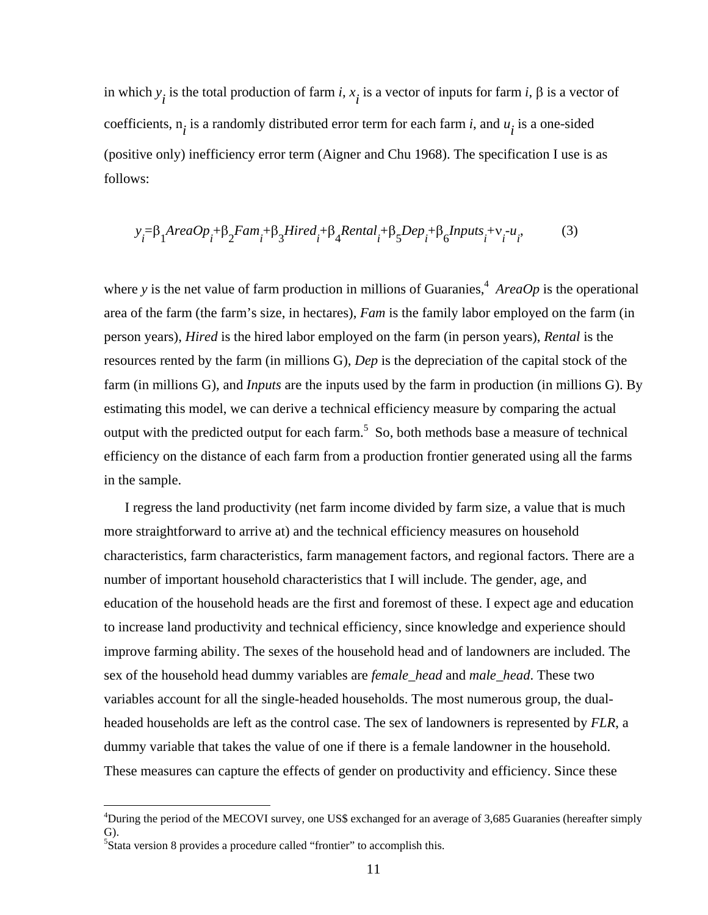in which  $y_i$  is the total production of farm *i*,  $x_i$  is a vector of inputs for farm *i*,  $\beta$  is a vector of coefficients,  $n_i$  is a randomly distributed error term for each farm *i*, and  $u_i$  is a one-sided (positive only) inefficiency error term (Aigner and Chu 1968). The specification I use is as follows:

$$
y_i = \beta_1 AreaOp_i + \beta_2 Fam_i + \beta_3 Hired_i + \beta_4 Rental_i + \beta_5 Dep_i + \beta_6 Imputs_i + v_i - u_i,
$$
 (3)

where y is the net value of farm production in millions of Guaranies,  $4$  *AreaOp* is the operational area of the farm (the farm's size, in hectares), *Fam* is the family labor employed on the farm (in person years), *Hired* is the hired labor employed on the farm (in person years), *Rental* is the resources rented by the farm (in millions G), *Dep* is the depreciation of the capital stock of the farm (in millions G), and *Inputs* are the inputs used by the farm in production (in millions G). By estimating this model, we can derive a technical efficiency measure by comparing the actual outputwith the predicted output for each farm.<sup>5</sup> So, both methods base a measure of technical efficiency on the distance of each farm from a production frontier generated using all the farms in the sample.

I regress the land productivity (net farm income divided by farm size, a value that is much more straightforward to arrive at) and the technical efficiency measures on household characteristics, farm characteristics, farm management factors, and regional factors. There are a number of important household characteristics that I will include. The gender, age, and education of the household heads are the first and foremost of these. I expect age and education to increase land productivity and technical efficiency, since knowledge and experience should improve farming ability. The sexes of the household head and of landowners are included. The sex of the household head dummy variables are *female*\_*head* and *male*\_*head*. These two variables account for all the single-headed households. The most numerous group, the dualheaded households are left as the control case. The sex of landowners is represented by *FLR*, a dummy variable that takes the value of one if there is a female landowner in the household. These measures can capture the effects of gender on productivity and efficiency. Since these

 $\overline{a}$ 

<span id="page-11-0"></span><sup>&</sup>lt;sup>4</sup>During the period of the MECOVI survey, one US\$ exchanged for an average of 3,685 Guaranies (hereafter simply G).

<span id="page-11-1"></span><sup>&</sup>lt;sup>5</sup>Stata version 8 provides a procedure called "frontier" to accomplish this.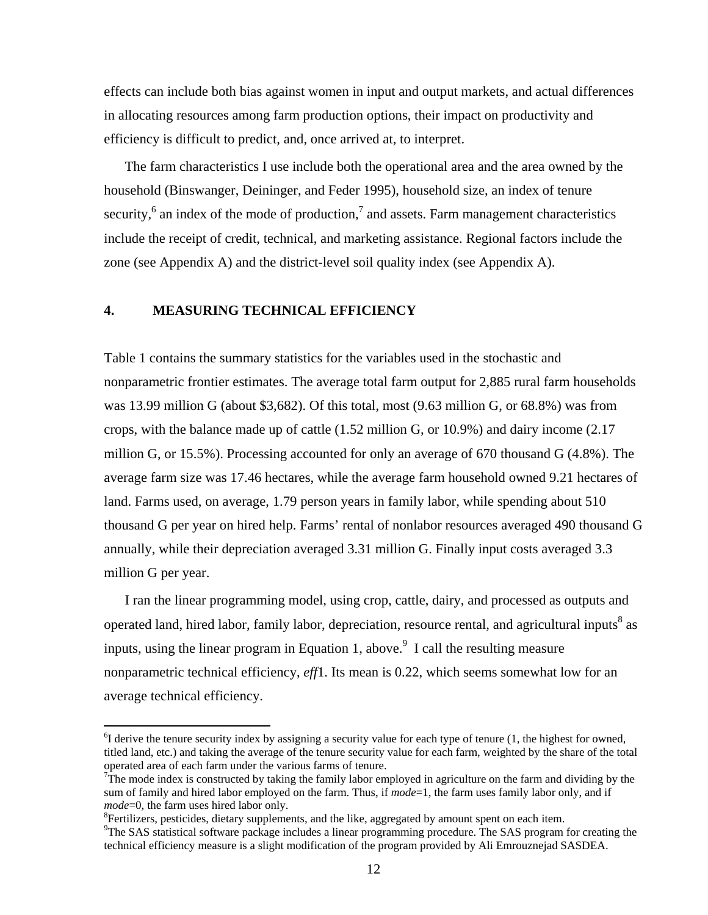effects can include both bias against women in input and output markets, and actual differences in allocating resources among farm production options, their impact on productivity and efficiency is difficult to predict, and, once arrived at, to interpret.

The farm characteristics I use include both the operational area and the area owned by the household (Binswanger, Deininger, and Feder 1995), household size, an index of tenure security,<sup>6</sup> [a](#page-12-1)n index of the mode of production,<sup>7</sup> and assets. Farm management characteristics include the receipt of credit, technical, and marketing assistance. Regional factors include the zone (see Appendix A) and the district-level soil quality index (see Appendix A).

### <span id="page-12-4"></span>**4. MEASURING TECHNICAL EFFICIENCY**

 $\overline{a}$ 

Table 1 contains the summary statistics for the variables used in the stochastic and nonparametric frontier estimates. The average total farm output for 2,885 rural farm households was 13.99 million G (about \$3,682). Of this total, most (9.63 million G, or 68.8%) was from crops, with the balance made up of cattle (1.52 million G, or 10.9%) and dairy income (2.17 million G, or 15.5%). Processing accounted for only an average of 670 thousand G (4.8%). The average farm size was 17.46 hectares, while the average farm household owned 9.21 hectares of land. Farms used, on average, 1.79 person years in family labor, while spending about 510 thousand G per year on hired help. Farms' rental of nonlabor resources averaged 490 thousand G annually, while their depreciation averaged 3.31 million G. Finally input costs averaged 3.3 million G per year.

I ran the linear programming model, using crop, cattle, dairy, and processed as outputs and operated land, hired labor, family labor, depreciation, resource rental, and agricultural inputs<sup>[8](#page-12-2)</sup> as inputs, using the linear program in Equation 1, above.<sup>[9](#page-12-3)</sup> I call the resulting measure nonparametric technical efficiency, *eff*1. Its mean is 0.22, which seems somewhat low for an average technical efficiency.

<span id="page-12-0"></span> ${}^{6}$ I derive the tenure security index by assigning a security value for each type of tenure (1, the highest for owned, titled land, etc.) and taking the average of the tenure security value for each farm, weighted by the share of the total operated area of each farm under the various farms of tenure. 7

<span id="page-12-1"></span>The mode index is constructed by taking the family labor employed in agriculture on the farm and dividing by the sum of family and hired labor employed on the farm. Thus, if *mode*=1, the farm uses family labor only, and if *mode*=0, the farm uses hired labor only.

<span id="page-12-2"></span> ${}^{8}$ Fertilizers, pesticides, dietary supplements, and the like, aggregated by amount spent on each item.

<span id="page-12-3"></span><sup>&</sup>lt;sup>9</sup>The SAS statistical software package includes a linear programming procedure. The SAS program for creating the technical efficiency measure is a slight modification of the program provided by Ali Emrouznejad SASDEA.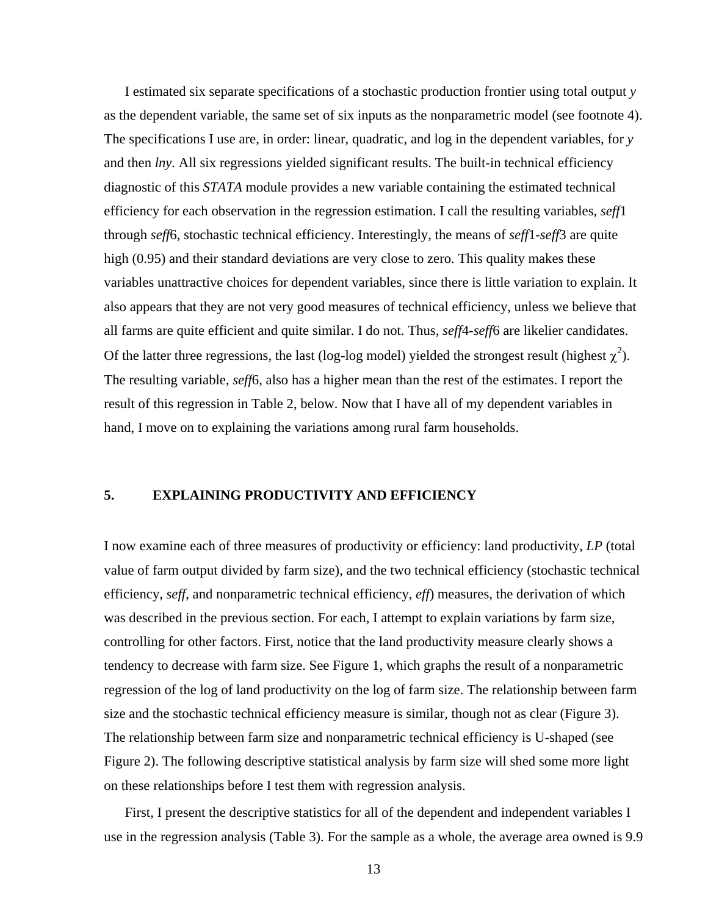I estimated six separate specifications of a stochastic production frontier using total output *y* as the dependent variable, the same set of six inputs as the nonparametric model (see footnote [4\)](#page-12-4). The specifications I use are, in order: linear, quadratic, and log in the dependent variables, for *y* and then *lny*. All six regressions yielded significant results. The built-in technical efficiency diagnostic of this *STATA* module provides a new variable containing the estimated technical efficiency for each observation in the regression estimation. I call the resulting variables, *seff*1 through *seff*6, stochastic technical efficiency. Interestingly, the means of *seff*1-*seff*3 are quite high (0.95) and their standard deviations are very close to zero. This quality makes these variables unattractive choices for dependent variables, since there is little variation to explain. It also appears that they are not very good measures of technical efficiency, unless we believe that all farms are quite efficient and quite similar. I do not. Thus, *seff*4-*seff*6 are likelier candidates. Of the latter three regressions, the last (log-log model) yielded the strongest result (highest  $\chi^2$ ). The resulting variable, *seff*6, also has a higher mean than the rest of the estimates. I report the result of this regression in Table 2, below. Now that I have all of my dependent variables in hand, I move on to explaining the variations among rural farm households.

## **5. EXPLAINING PRODUCTIVITY AND EFFICIENCY**

I now examine each of three measures of productivity or efficiency: land productivity, *LP* (total value of farm output divided by farm size), and the two technical efficiency (stochastic technical efficiency, *seff*, and nonparametric technical efficiency, *eff*) measures, the derivation of which was described in the previous section. For each, I attempt to explain variations by farm size, controlling for other factors. First, notice that the land productivity measure clearly shows a tendency to decrease with farm size. See Figure 1, which graphs the result of a nonparametric regression of the log of land productivity on the log of farm size. The relationship between farm size and the stochastic technical efficiency measure is similar, though not as clear (Figure 3). The relationship between farm size and nonparametric technical efficiency is U-shaped (see Figure 2). The following descriptive statistical analysis by farm size will shed some more light on these relationships before I test them with regression analysis.

First, I present the descriptive statistics for all of the dependent and independent variables I use in the regression analysis (Table 3). For the sample as a whole, the average area owned is 9.9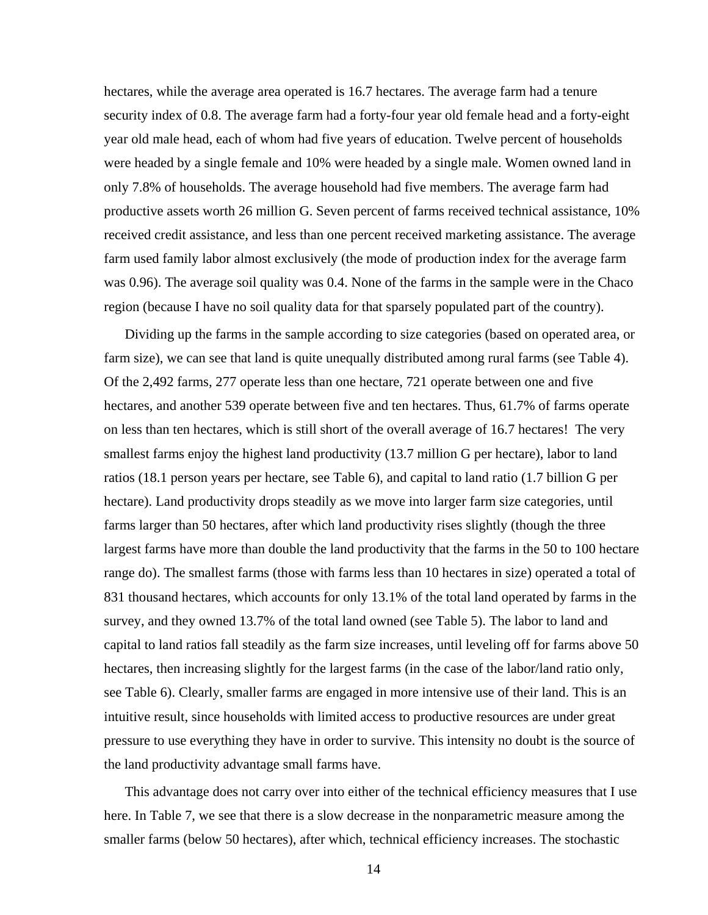hectares, while the average area operated is 16.7 hectares. The average farm had a tenure security index of 0.8. The average farm had a forty-four year old female head and a forty-eight year old male head, each of whom had five years of education. Twelve percent of households were headed by a single female and 10% were headed by a single male. Women owned land in only 7.8% of households. The average household had five members. The average farm had productive assets worth 26 million G. Seven percent of farms received technical assistance, 10% received credit assistance, and less than one percent received marketing assistance. The average farm used family labor almost exclusively (the mode of production index for the average farm was 0.96). The average soil quality was 0.4. None of the farms in the sample were in the Chaco region (because I have no soil quality data for that sparsely populated part of the country).

Dividing up the farms in the sample according to size categories (based on operated area, or farm size), we can see that land is quite unequally distributed among rural farms (see Table 4). Of the 2,492 farms, 277 operate less than one hectare, 721 operate between one and five hectares, and another 539 operate between five and ten hectares. Thus, 61.7% of farms operate on less than ten hectares, which is still short of the overall average of 16.7 hectares! The very smallest farms enjoy the highest land productivity (13.7 million G per hectare), labor to land ratios (18.1 person years per hectare, see Table 6), and capital to land ratio (1.7 billion G per hectare). Land productivity drops steadily as we move into larger farm size categories, until farms larger than 50 hectares, after which land productivity rises slightly (though the three largest farms have more than double the land productivity that the farms in the 50 to 100 hectare range do). The smallest farms (those with farms less than 10 hectares in size) operated a total of 831 thousand hectares, which accounts for only 13.1% of the total land operated by farms in the survey, and they owned 13.7% of the total land owned (see Table 5). The labor to land and capital to land ratios fall steadily as the farm size increases, until leveling off for farms above 50 hectares, then increasing slightly for the largest farms (in the case of the labor/land ratio only, see Table 6). Clearly, smaller farms are engaged in more intensive use of their land. This is an intuitive result, since households with limited access to productive resources are under great pressure to use everything they have in order to survive. This intensity no doubt is the source of the land productivity advantage small farms have.

This advantage does not carry over into either of the technical efficiency measures that I use here. In Table 7, we see that there is a slow decrease in the nonparametric measure among the smaller farms (below 50 hectares), after which, technical efficiency increases. The stochastic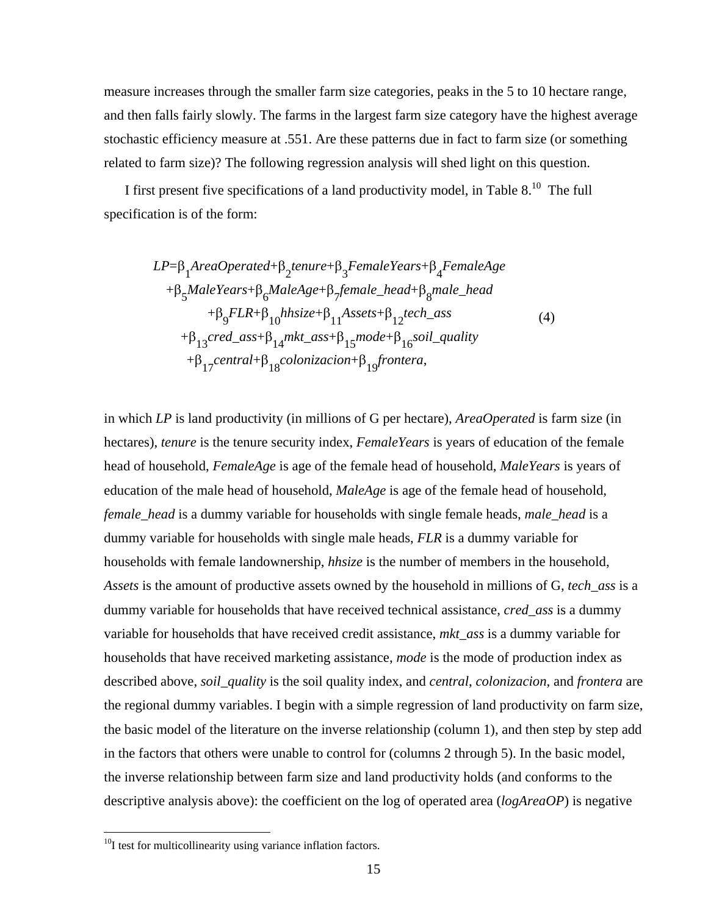measure increases through the smaller farm size categories, peaks in the 5 to 10 hectare range, and then falls fairly slowly. The farms in the largest farm size category have the highest average stochastic efficiency measure at .551. Are these patterns due in fact to farm size (or something related to farm size)? The following regression analysis will shed light on this question.

I first present five specifications of a land productivity model, in Table 8[.10](#page-15-0) The full specification is of the form:

$$
LP = \beta_1 AreaOperated + \beta_2 tenure + \beta_3 Female Years + \beta_4 FemaleAge
$$
  
+ $\beta_5 MaleYears + \beta_6 MaleAge + \beta_7 female\_head + \beta_8 male\_head$   
+ $\beta_9 FLR + \beta_{10} hhsize + \beta_{11} Assets + \beta_{12} tech\_ass$  (4)  
+ $\beta_{13} cred\_ass + \beta_{14} mkt\_ass + \beta_{15} mode + \beta_{16} soil\_quality$   
+ $\beta_{17} central + \beta_{18} colonization + \beta_{19} frontera,$ 

in which *LP* is land productivity (in millions of G per hectare), *AreaOperated* is farm size (in hectares), *tenure* is the tenure security index, *FemaleYears* is years of education of the female head of household, *FemaleAge* is age of the female head of household, *MaleYears* is years of education of the male head of household, *MaleAge* is age of the female head of household, *female*\_*head* is a dummy variable for households with single female heads, *male*\_*head* is a dummy variable for households with single male heads, *FLR* is a dummy variable for households with female landownership, *hhsize* is the number of members in the household, *Assets* is the amount of productive assets owned by the household in millions of G, *tech*\_*ass* is a dummy variable for households that have received technical assistance, *cred*\_*ass* is a dummy variable for households that have received credit assistance, *mkt*\_*ass* is a dummy variable for households that have received marketing assistance, *mode* is the mode of production index as described above, *soil*\_*quality* is the soil quality index, and *central*, *colonizacion*, and *frontera* are the regional dummy variables. I begin with a simple regression of land productivity on farm size, the basic model of the literature on the inverse relationship (column 1), and then step by step add in the factors that others were unable to control for (columns 2 through 5). In the basic model, the inverse relationship between farm size and land productivity holds (and conforms to the descriptive analysis above): the coefficient on the log of operated area (*logAreaOP*) is negative

<span id="page-15-0"></span> $10I$  test for multicollinearity using variance inflation factors.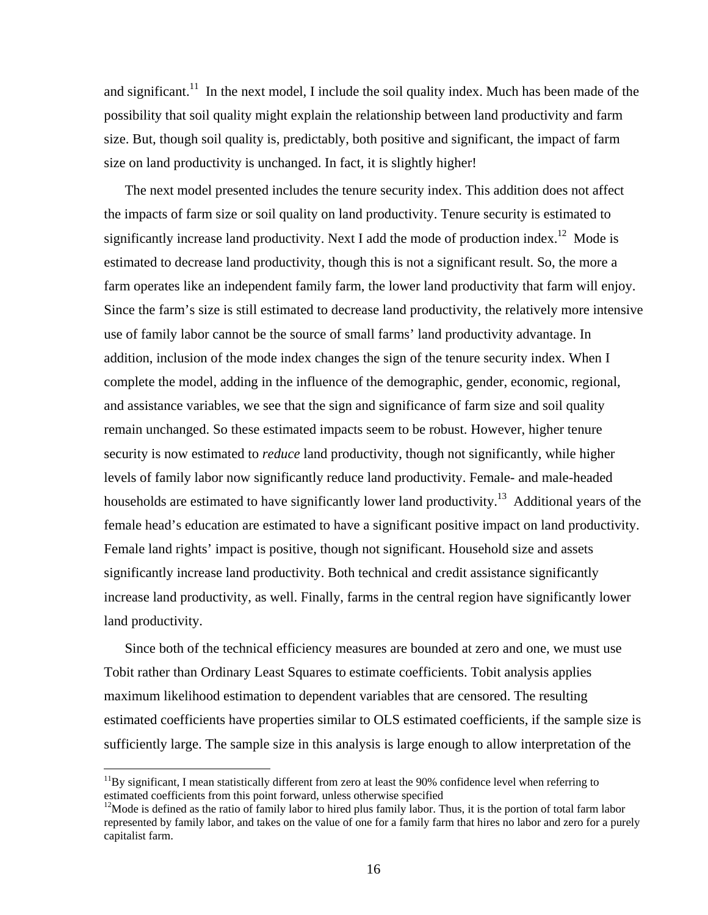and significant.<sup>11</sup> In the next model, I include the soil quality index. Much has been made of the possibility that soil quality might explain the relationship between land productivity and farm size. But, though soil quality is, predictably, both positive and significant, the impact of farm size on land productivity is unchanged. In fact, it is slightly higher!

The next model presented includes the tenure security index. This addition does not affect the impacts of farm size or soil quality on land productivity. Tenure security is estimated to significantly increase land productivity. Next I add the mode of production index.<sup>12</sup> Mode is estimated to decrease land productivity, though this is not a significant result. So, the more a farm operates like an independent family farm, the lower land productivity that farm will enjoy. Since the farm's size is still estimated to decrease land productivity, the relatively more intensive use of family labor cannot be the source of small farms' land productivity advantage. In addition, inclusion of the mode index changes the sign of the tenure security index. When I complete the model, adding in the influence of the demographic, gender, economic, regional, and assistance variables, we see that the sign and significance of farm size and soil quality remain unchanged. So these estimated impacts seem to be robust. However, higher tenure security is now estimated to *reduce* land productivity, though not significantly, while higher levels of family labor now significantly reduce land productivity. Female- and male-headed households are estimated to have significantly lower land productivity.<sup>13</sup> Additional years of the female head's education are estimated to have a significant positive impact on land productivity. Female land rights' impact is positive, though not significant. Household size and assets significantly increase land productivity. Both technical and credit assistance significantly increase land productivity, as well. Finally, farms in the central region have significantly lower land productivity.

Since both of the technical efficiency measures are bounded at zero and one, we must use Tobit rather than Ordinary Least Squares to estimate coefficients. Tobit analysis applies maximum likelihood estimation to dependent variables that are censored. The resulting estimated coefficients have properties similar to OLS estimated coefficients, if the sample size is sufficiently large. The sample size in this analysis is large enough to allow interpretation of the

<u>.</u>

<span id="page-16-0"></span> $11\text{By significant}$ , I mean statistically different from zero at least the 90% confidence level when referring to estimated coefficients from this point forward, unless otherwise specified

<span id="page-16-2"></span><span id="page-16-1"></span><sup>&</sup>lt;sup>12</sup>Mode is defined as the ratio of family labor to hired plus family labor. Thus, it is the portion of total farm labor represented by family labor, and takes on the value of one for a family farm that hires no labor and zero for a purely capitalist farm.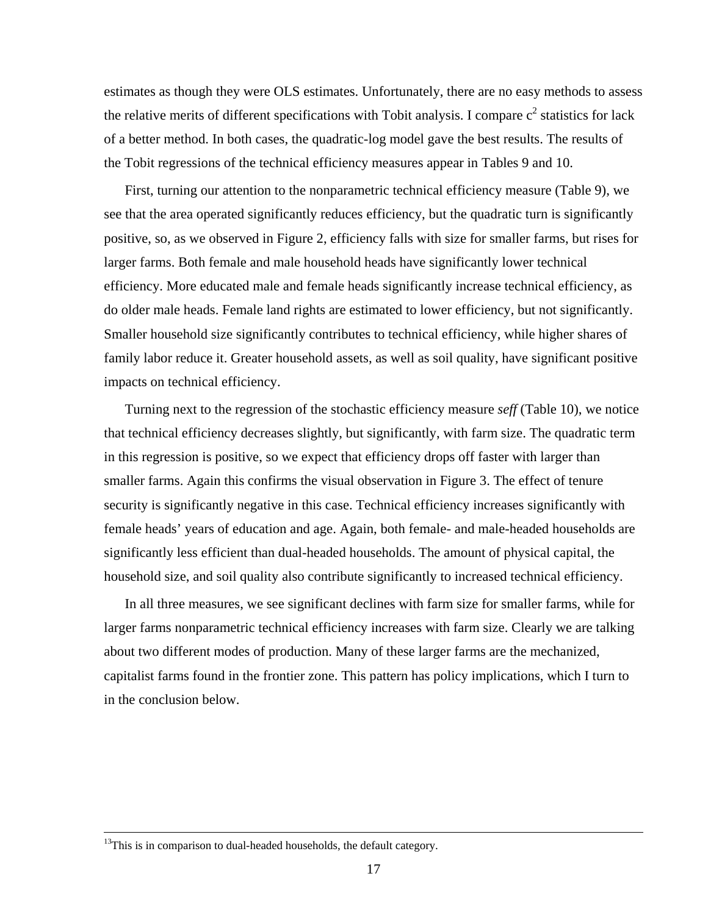estimates as though they were OLS estimates. Unfortunately, there are no easy methods to assess the relative merits of different specifications with Tobit analysis. I compare  $c^2$  statistics for lack of a better method. In both cases, the quadratic-log model gave the best results. The results of the Tobit regressions of the technical efficiency measures appear in Tables 9 and 10.

First, turning our attention to the nonparametric technical efficiency measure (Table 9), we see that the area operated significantly reduces efficiency, but the quadratic turn is significantly positive, so, as we observed in Figure 2, efficiency falls with size for smaller farms, but rises for larger farms. Both female and male household heads have significantly lower technical efficiency. More educated male and female heads significantly increase technical efficiency, as do older male heads. Female land rights are estimated to lower efficiency, but not significantly. Smaller household size significantly contributes to technical efficiency, while higher shares of family labor reduce it. Greater household assets, as well as soil quality, have significant positive impacts on technical efficiency.

Turning next to the regression of the stochastic efficiency measure *seff* (Table 10), we notice that technical efficiency decreases slightly, but significantly, with farm size. The quadratic term in this regression is positive, so we expect that efficiency drops off faster with larger than smaller farms. Again this confirms the visual observation in Figure 3. The effect of tenure security is significantly negative in this case. Technical efficiency increases significantly with female heads' years of education and age. Again, both female- and male-headed households are significantly less efficient than dual-headed households. The amount of physical capital, the household size, and soil quality also contribute significantly to increased technical efficiency.

In all three measures, we see significant declines with farm size for smaller farms, while for larger farms nonparametric technical efficiency increases with farm size. Clearly we are talking about two different modes of production. Many of these larger farms are the mechanized, capitalist farms found in the frontier zone. This pattern has policy implications, which I turn to in the conclusion below.

 $13$ This is in comparison to dual-headed households, the default category.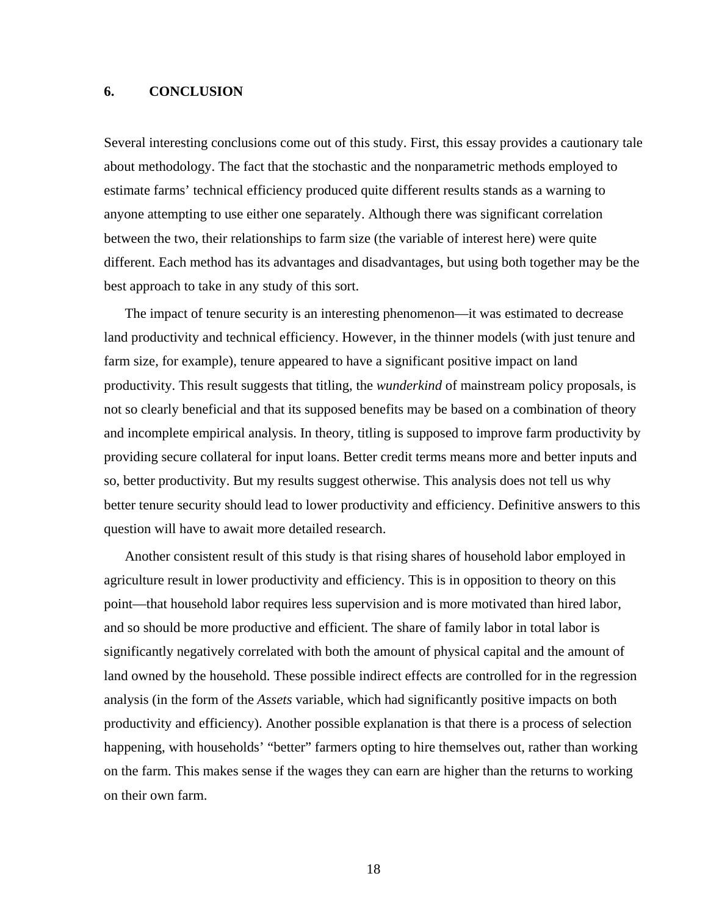### **6. CONCLUSION**

Several interesting conclusions come out of this study. First, this essay provides a cautionary tale about methodology. The fact that the stochastic and the nonparametric methods employed to estimate farms' technical efficiency produced quite different results stands as a warning to anyone attempting to use either one separately. Although there was significant correlation between the two, their relationships to farm size (the variable of interest here) were quite different. Each method has its advantages and disadvantages, but using both together may be the best approach to take in any study of this sort.

The impact of tenure security is an interesting phenomenon—it was estimated to decrease land productivity and technical efficiency. However, in the thinner models (with just tenure and farm size, for example), tenure appeared to have a significant positive impact on land productivity. This result suggests that titling, the *wunderkind* of mainstream policy proposals, is not so clearly beneficial and that its supposed benefits may be based on a combination of theory and incomplete empirical analysis. In theory, titling is supposed to improve farm productivity by providing secure collateral for input loans. Better credit terms means more and better inputs and so, better productivity. But my results suggest otherwise. This analysis does not tell us why better tenure security should lead to lower productivity and efficiency. Definitive answers to this question will have to await more detailed research.

Another consistent result of this study is that rising shares of household labor employed in agriculture result in lower productivity and efficiency. This is in opposition to theory on this point—that household labor requires less supervision and is more motivated than hired labor, and so should be more productive and efficient. The share of family labor in total labor is significantly negatively correlated with both the amount of physical capital and the amount of land owned by the household. These possible indirect effects are controlled for in the regression analysis (in the form of the *Assets* variable, which had significantly positive impacts on both productivity and efficiency). Another possible explanation is that there is a process of selection happening, with households' "better" farmers opting to hire themselves out, rather than working on the farm. This makes sense if the wages they can earn are higher than the returns to working on their own farm.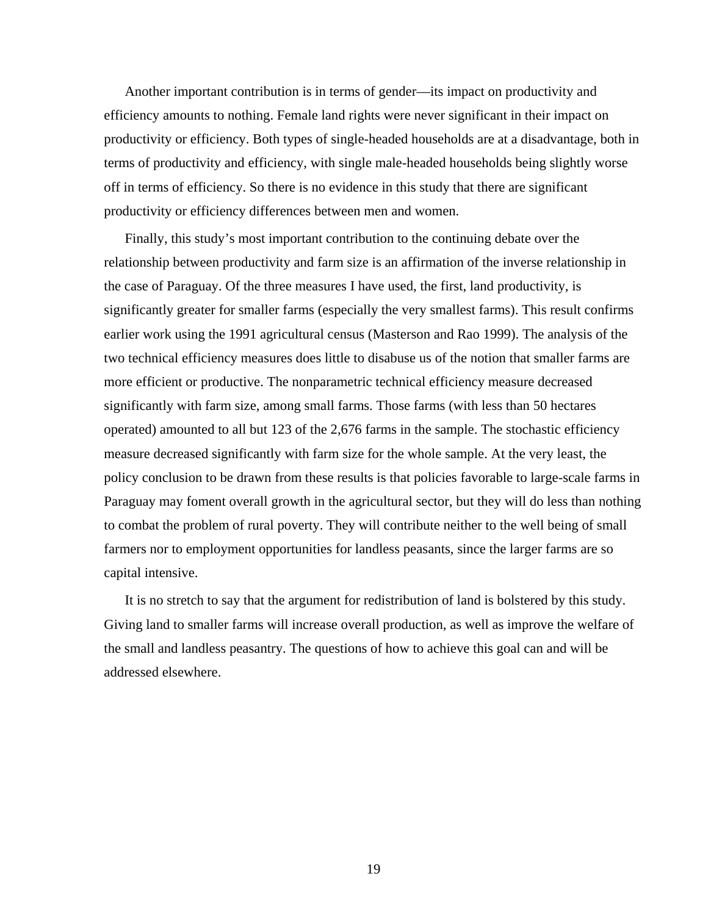Another important contribution is in terms of gender—its impact on productivity and efficiency amounts to nothing. Female land rights were never significant in their impact on productivity or efficiency. Both types of single-headed households are at a disadvantage, both in terms of productivity and efficiency, with single male-headed households being slightly worse off in terms of efficiency. So there is no evidence in this study that there are significant productivity or efficiency differences between men and women.

Finally, this study's most important contribution to the continuing debate over the relationship between productivity and farm size is an affirmation of the inverse relationship in the case of Paraguay. Of the three measures I have used, the first, land productivity, is significantly greater for smaller farms (especially the very smallest farms). This result confirms earlier work using the 1991 agricultural census (Masterson and Rao 1999). The analysis of the two technical efficiency measures does little to disabuse us of the notion that smaller farms are more efficient or productive. The nonparametric technical efficiency measure decreased significantly with farm size, among small farms. Those farms (with less than 50 hectares operated) amounted to all but 123 of the 2,676 farms in the sample. The stochastic efficiency measure decreased significantly with farm size for the whole sample. At the very least, the policy conclusion to be drawn from these results is that policies favorable to large-scale farms in Paraguay may foment overall growth in the agricultural sector, but they will do less than nothing to combat the problem of rural poverty. They will contribute neither to the well being of small farmers nor to employment opportunities for landless peasants, since the larger farms are so capital intensive.

It is no stretch to say that the argument for redistribution of land is bolstered by this study. Giving land to smaller farms will increase overall production, as well as improve the welfare of the small and landless peasantry. The questions of how to achieve this goal can and will be addressed elsewhere.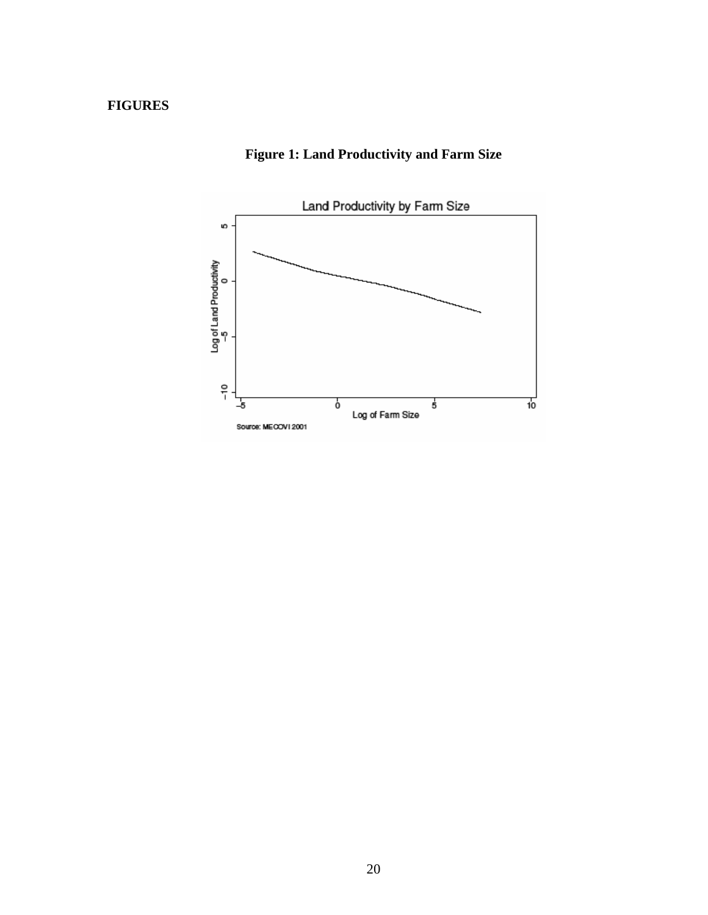

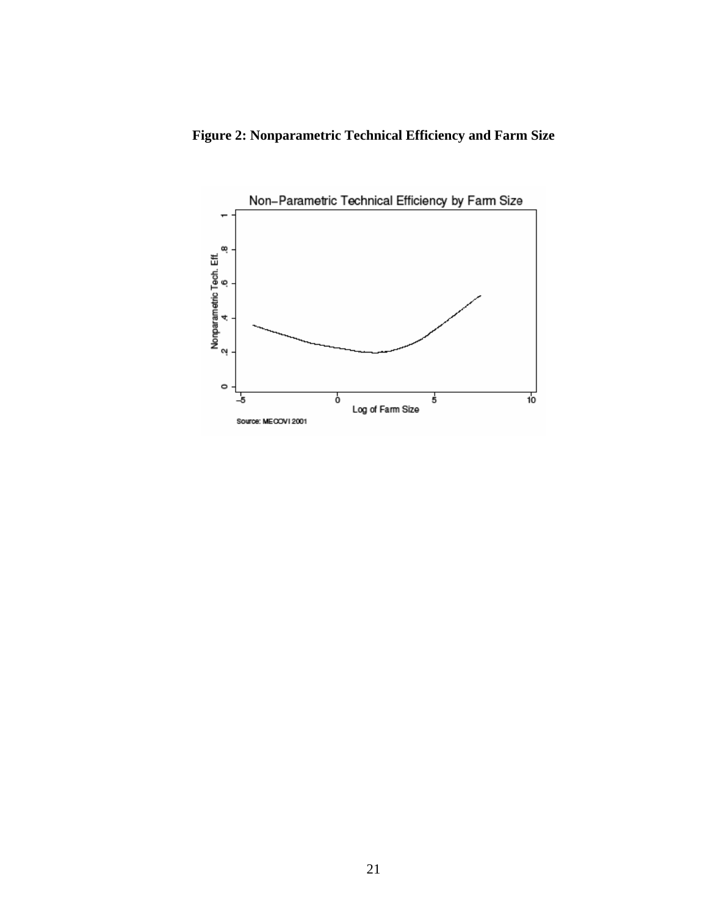

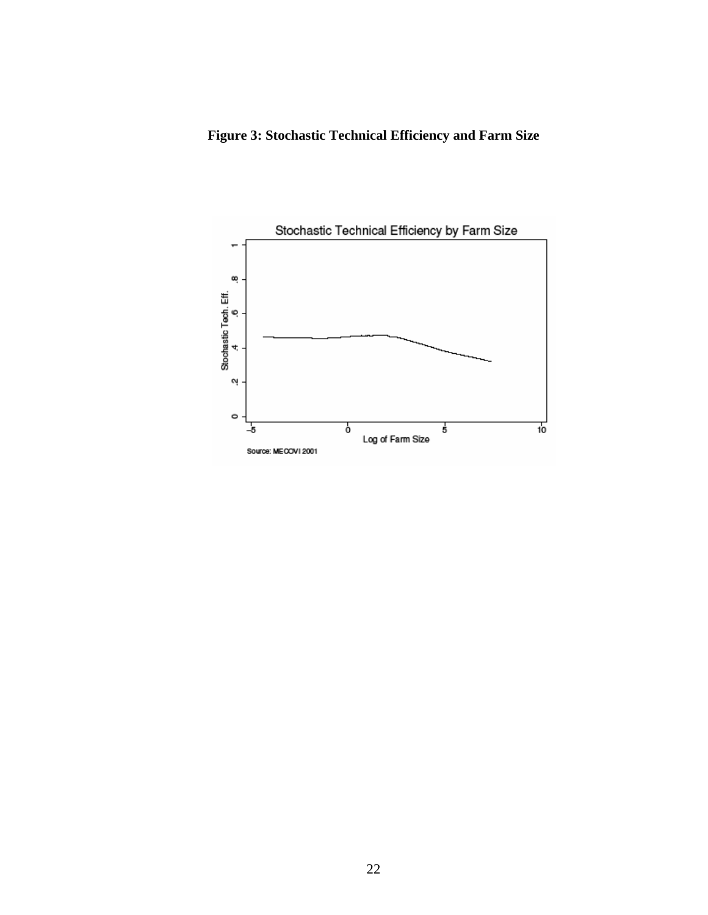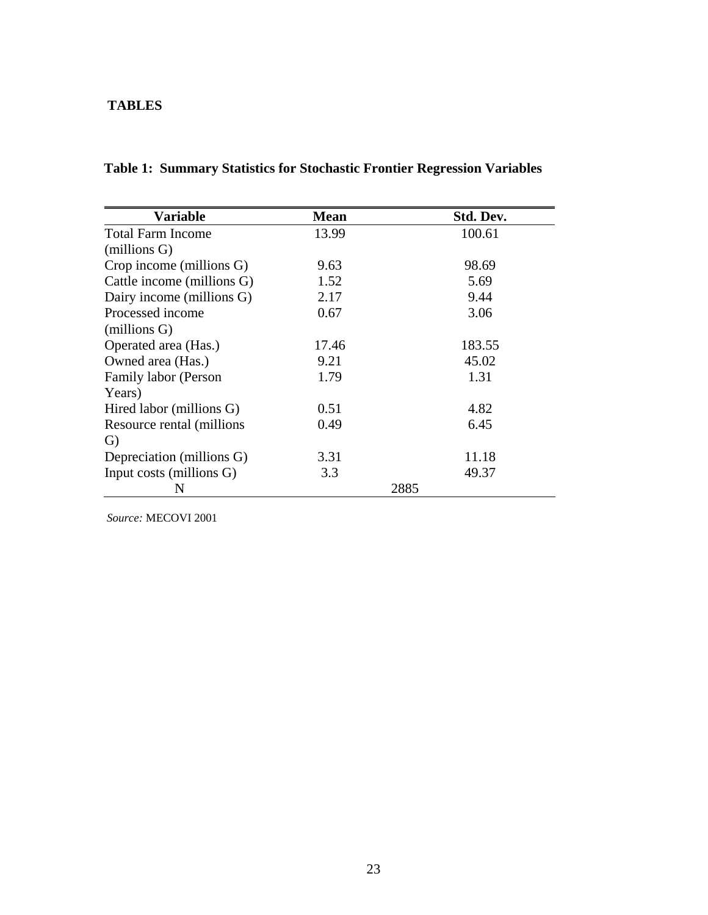## **TABLES**

| <b>Variable</b>            | <b>Mean</b> | Std. Dev. |
|----------------------------|-------------|-----------|
| <b>Total Farm Income</b>   | 13.99       | 100.61    |
| (millions G)               |             |           |
| Crop income (millions G)   | 9.63        | 98.69     |
| Cattle income (millions G) | 1.52        | 5.69      |
| Dairy income (millions G)  | 2.17        | 9.44      |
| Processed income           | 0.67        | 3.06      |
| (millions G)               |             |           |
| Operated area (Has.)       | 17.46       | 183.55    |
| Owned area (Has.)          | 9.21        | 45.02     |
| Family labor (Person       | 1.79        | 1.31      |
| Years)                     |             |           |
| Hired labor (millions G)   | 0.51        | 4.82      |
| Resource rental (millions) | 0.49        | 6.45      |
| G)                         |             |           |
| Depreciation (millions G)  | 3.31        | 11.18     |
| Input costs (millions G)   | 3.3         | 49.37     |
| N                          |             | 2885      |

# **Table 1: Summary Statistics for Stochastic Frontier Regression Variables**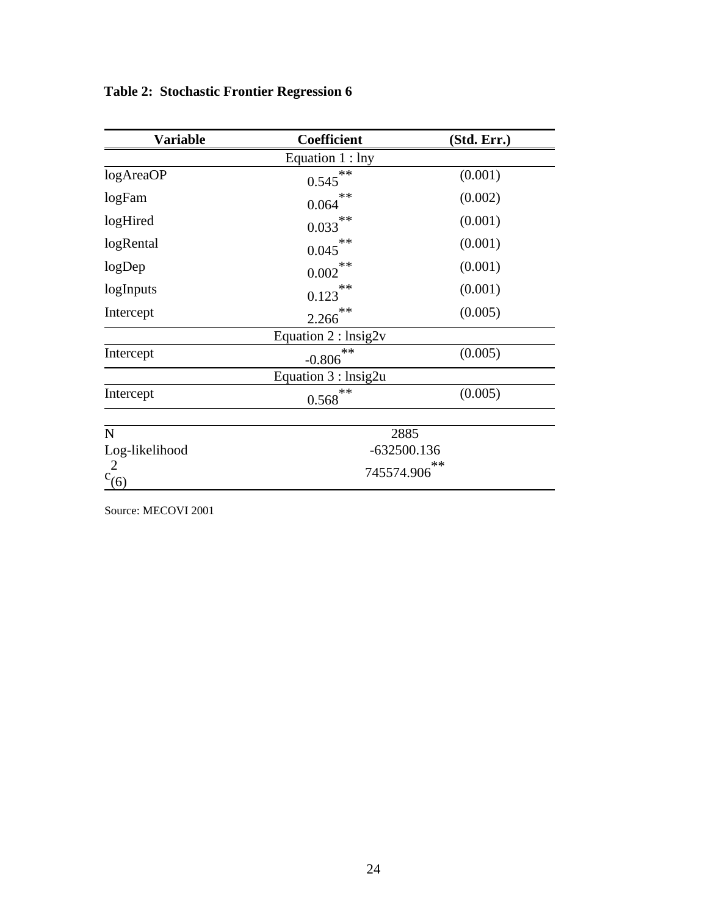|  |  |  | <b>Table 2: Stochastic Frontier Regression 6</b> |
|--|--|--|--------------------------------------------------|
|--|--|--|--------------------------------------------------|

| <b>Variable</b> | <b>Coefficient</b>    | (Std. Err.) |
|-----------------|-----------------------|-------------|
|                 | Equation $1:$ lny     |             |
| logAreaOP       | **<br>0.545           | (0.001)     |
| logFam          | $**$<br>0.064         | (0.002)     |
| logHired        | **<br>0.033           | (0.001)     |
| logRental       | $\ast\ast$<br>0.045   | (0.001)     |
| logDep          | **<br>0.002           | (0.001)     |
| logInputs       | $\ast\ast$<br>0.123   | (0.001)     |
| Intercept       | $\ast\ast$<br>2.266   | (0.005)     |
|                 | Equation $2:$ lnsig2v |             |
| Intercept       | $**$<br>$-0.806$      | (0.005)     |
|                 | Equation 3 : lnsig2u  |             |
| Intercept       | $\ast\ast$<br>0.568   | (0.005)     |
| N               | 2885                  |             |
| Log-likelihood  | $-632500.136$         |             |
| $c_{(6)}^2$     | **<br>745574.906      |             |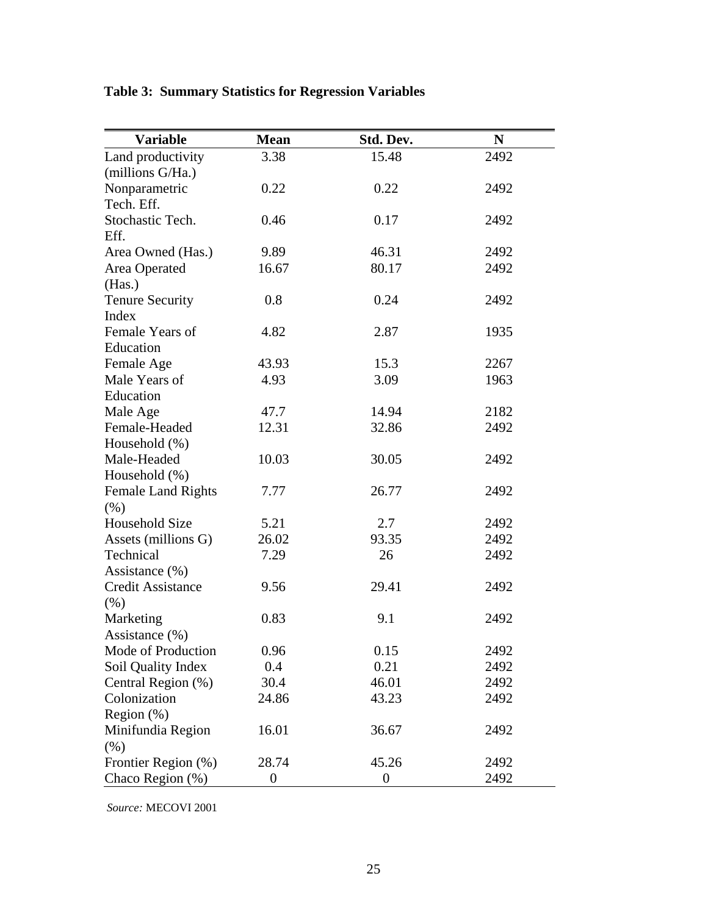| <b>Variable</b>          | <b>Mean</b>      | Std. Dev.        | N    |
|--------------------------|------------------|------------------|------|
| Land productivity        | 3.38             | 15.48            | 2492 |
| (millions G/Ha.)         |                  |                  |      |
| Nonparametric            | 0.22             | 0.22             | 2492 |
| Tech. Eff.               |                  |                  |      |
| Stochastic Tech.         | 0.46             | 0.17             | 2492 |
| Eff.                     |                  |                  |      |
| Area Owned (Has.)        | 9.89             | 46.31            | 2492 |
| Area Operated            | 16.67            | 80.17            | 2492 |
| (Has.)                   |                  |                  |      |
| <b>Tenure Security</b>   | 0.8              | 0.24             | 2492 |
| Index                    |                  |                  |      |
| Female Years of          | 4.82             | 2.87             | 1935 |
| Education                |                  |                  |      |
| Female Age               | 43.93            | 15.3             | 2267 |
| Male Years of            | 4.93             | 3.09             | 1963 |
| Education                |                  |                  |      |
| Male Age                 | 47.7             | 14.94            | 2182 |
| Female-Headed            | 12.31            | 32.86            | 2492 |
| Household (%)            |                  |                  |      |
| Male-Headed              | 10.03            | 30.05            | 2492 |
| Household (%)            |                  |                  |      |
| Female Land Rights       | 7.77             | 26.77            | 2492 |
| $(\% )$                  |                  |                  |      |
| Household Size           | 5.21             | 2.7              | 2492 |
| Assets (millions G)      | 26.02            | 93.35            | 2492 |
| Technical                | 7.29             | 26               | 2492 |
| Assistance (%)           |                  |                  |      |
| <b>Credit Assistance</b> | 9.56             | 29.41            | 2492 |
| $(\% )$                  |                  |                  |      |
| Marketing                | 0.83             | 9.1              | 2492 |
| Assistance (%)           |                  |                  |      |
| Mode of Production       | 0.96             | 0.15             | 2492 |
| Soil Quality Index       | 0.4              | 0.21             | 2492 |
| Central Region (%)       | 30.4             | 46.01            | 2492 |
| Colonization             | 24.86            | 43.23            | 2492 |
| Region $(\%)$            |                  |                  |      |
| Minifundia Region        | 16.01            | 36.67            | 2492 |
| (% )                     |                  |                  |      |
| Frontier Region (%)      | 28.74            | 45.26            | 2492 |
| Chaco Region (%)         | $\boldsymbol{0}$ | $\boldsymbol{0}$ | 2492 |

# **Table 3: Summary Statistics for Regression Variables**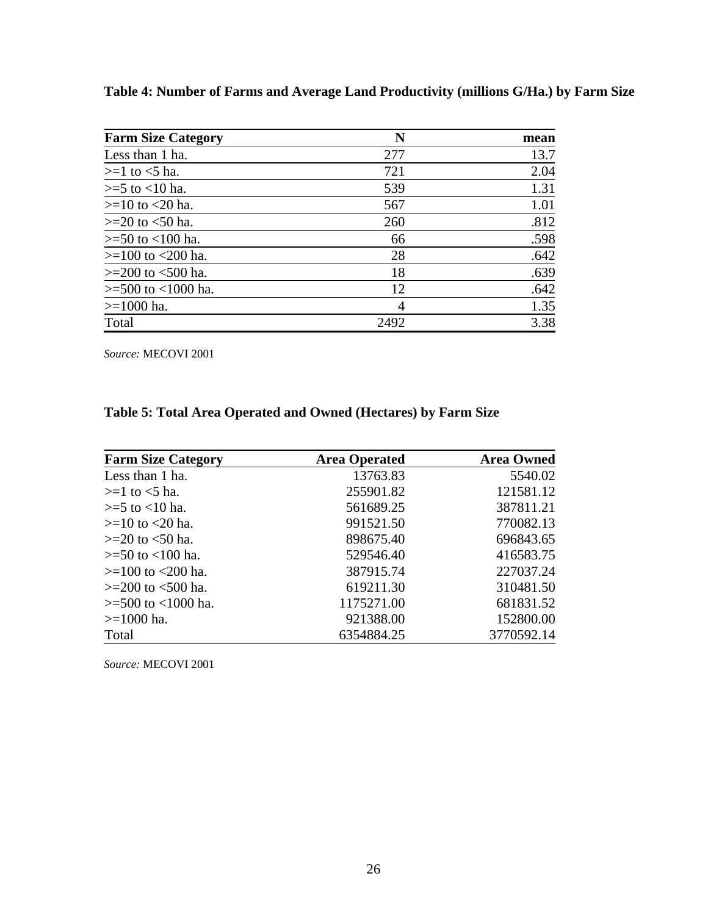**Table 4: Number of Farms and Average Land Productivity (millions G/Ha.) by Farm Size**

| <b>Farm Size Category</b> | N    | mean |
|---------------------------|------|------|
| Less than 1 ha.           | 277  | 13.7 |
| $>=1$ to $<$ 5 ha.        | 721  | 2.04 |
| $>=5$ to $<10$ ha.        | 539  | 1.31 |
| $>=10$ to $<20$ ha.       | 567  | 1.01 |
| $>=20$ to $<50$ ha.       | 260  | .812 |
| $>=$ 50 to <100 ha.       | 66   | .598 |
| $>=100$ to $<200$ ha.     | 28   | .642 |
| $>=200$ to $<500$ ha.     | 18   | .639 |
| $>=$ 500 to <1000 ha.     | 12   | .642 |
| $>=1000$ ha.              | 4    | 1.35 |
| Total                     | 2492 | 3.38 |

## **Table 5: Total Area Operated and Owned (Hectares) by Farm Size**

| <b>Farm Size Category</b> | <b>Area Operated</b> | <b>Area Owned</b> |
|---------------------------|----------------------|-------------------|
| Less than 1 ha.           | 13763.83             | 5540.02           |
| $>=1$ to $<$ 5 ha.        | 255901.82            | 121581.12         |
| $>=5$ to $<10$ ha.        | 561689.25            | 387811.21         |
| $>=10$ to $<20$ ha.       | 991521.50            | 770082.13         |
| $>=20$ to $<50$ ha.       | 898675.40            | 696843.65         |
| $>=$ 50 to $<$ 100 ha.    | 529546.40            | 416583.75         |
| $>=100$ to $<200$ ha.     | 387915.74            | 227037.24         |
| $>=200$ to $<500$ ha.     | 619211.30            | 310481.50         |
| $>=$ 500 to <1000 ha.     | 1175271.00           | 681831.52         |
| $>=1000$ ha.              | 921388.00            | 152800.00         |
| Total                     | 6354884.25           | 3770592.14        |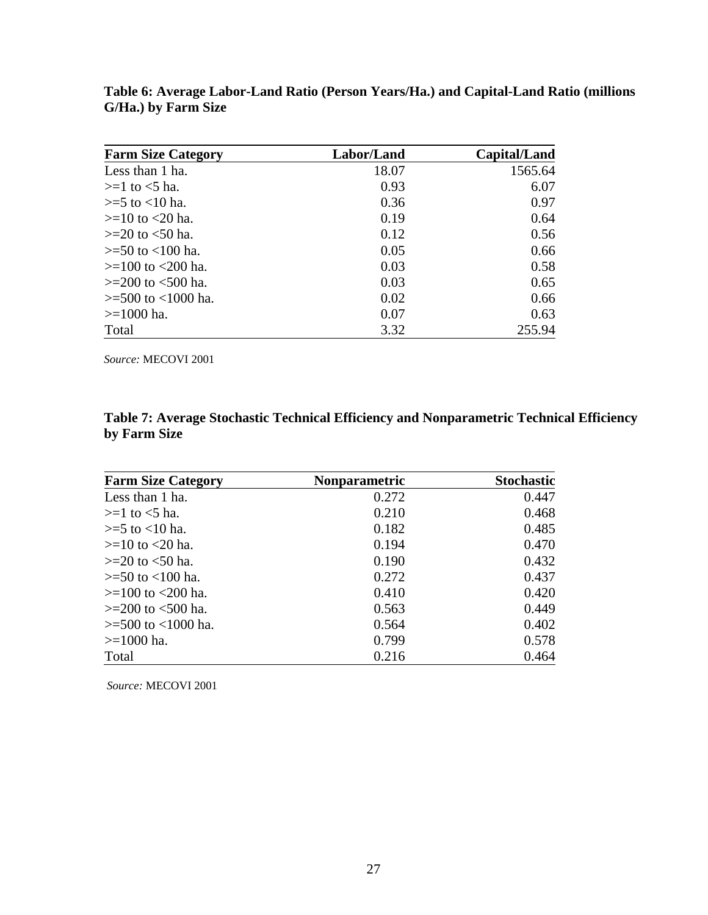| <b>Farm Size Category</b> | Labor/Land | Capital/Land |
|---------------------------|------------|--------------|
| Less than 1 ha.           | 18.07      | 1565.64      |
| $>=1$ to $<$ 5 ha.        | 0.93       | 6.07         |
| $>=5$ to $<10$ ha.        | 0.36       | 0.97         |
| $>=10$ to $<20$ ha.       | 0.19       | 0.64         |
| $>=20$ to $<$ 50 ha.      | 0.12       | 0.56         |
| $>= 50$ to $< 100$ ha.    | 0.05       | 0.66         |
| $>=100$ to $<200$ ha.     | 0.03       | 0.58         |
| $>=200$ to $<500$ ha.     | 0.03       | 0.65         |
| $>=500$ to $<1000$ ha.    | 0.02       | 0.66         |
| $>=1000$ ha.              | 0.07       | 0.63         |
| Total                     | 3.32       | 255.94       |

**Table 6: Average Labor-Land Ratio (Person Years/Ha.) and Capital-Land Ratio (millions G/Ha.) by Farm Size**

## **Table 7: Average Stochastic Technical Efficiency and Nonparametric Technical Efficiency by Farm Size**

| <b>Farm Size Category</b> | <b>Nonparametric</b> | <b>Stochastic</b> |
|---------------------------|----------------------|-------------------|
| Less than 1 ha.           | 0.272                | 0.447             |
| $>=1$ to $<$ 5 ha.        | 0.210                | 0.468             |
| $>=5$ to $<10$ ha.        | 0.182                | 0.485             |
| $>=10$ to $<20$ ha.       | 0.194                | 0.470             |
| $>=20$ to $< 50$ ha.      | 0.190                | 0.432             |
| $>=$ 50 to $<$ 100 ha.    | 0.272                | 0.437             |
| $>=100$ to $<200$ ha.     | 0.410                | 0.420             |
| $>=200$ to $<500$ ha.     | 0.563                | 0.449             |
| $>=500$ to $<1000$ ha.    | 0.564                | 0.402             |
| $>=1000$ ha.              | 0.799                | 0.578             |
| Total                     | 0.216                | 0.464             |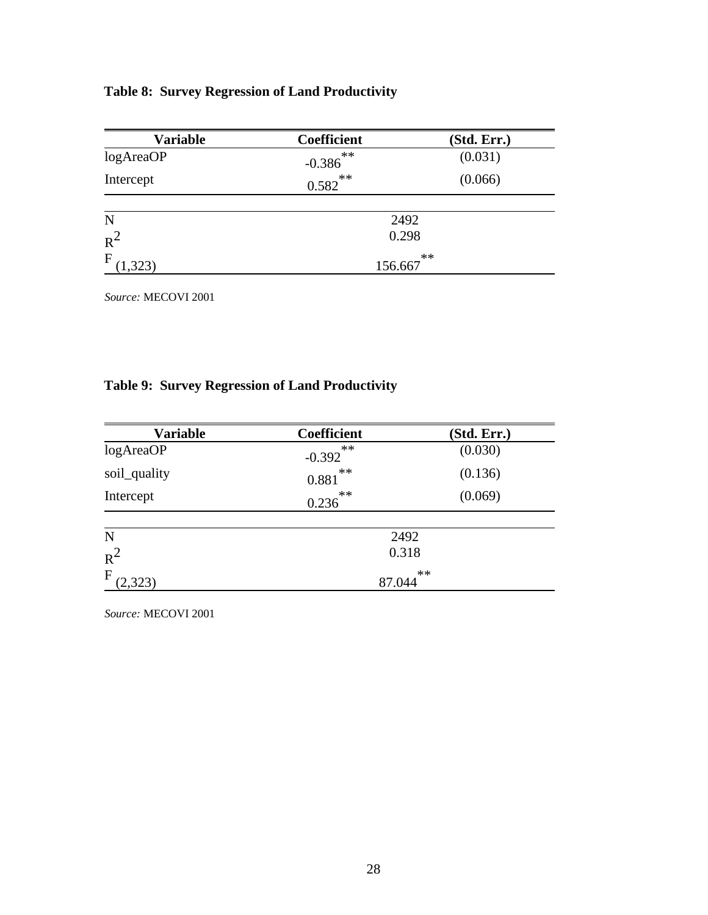# **Table 8: Survey Regression of Land Productivity**

| <b>Variable</b>              | <b>Coefficient</b> | (Std. Err.) |  |
|------------------------------|--------------------|-------------|--|
| logAreaOP                    | **<br>$-0.386$     | (0.031)     |  |
| Intercept                    | **<br>0.582        | (0.066)     |  |
| N                            | 2492               |             |  |
| $R^2$                        | 0.298              |             |  |
| $\boldsymbol{F}$<br>(1, 323) | **<br>156.667      |             |  |

*Source:* MECOVI 2001

# **Table 9: Survey Regression of Land Productivity**

| <b>Variable</b>      | <b>Coefficient</b>     | (Std. Err.) |
|----------------------|------------------------|-------------|
| logAreaOP            | $\ast\ast$<br>$-0.392$ | (0.030)     |
| soil_quality         | $**$<br>0.881          | (0.136)     |
| Intercept            | $**$<br>0.236          | (0.069)     |
|                      |                        |             |
| $\mathbf N$<br>$R^2$ | 2492<br>0.318          |             |
| $\boldsymbol{F}$     | $**$                   |             |
| (2,323)              | 87.044                 |             |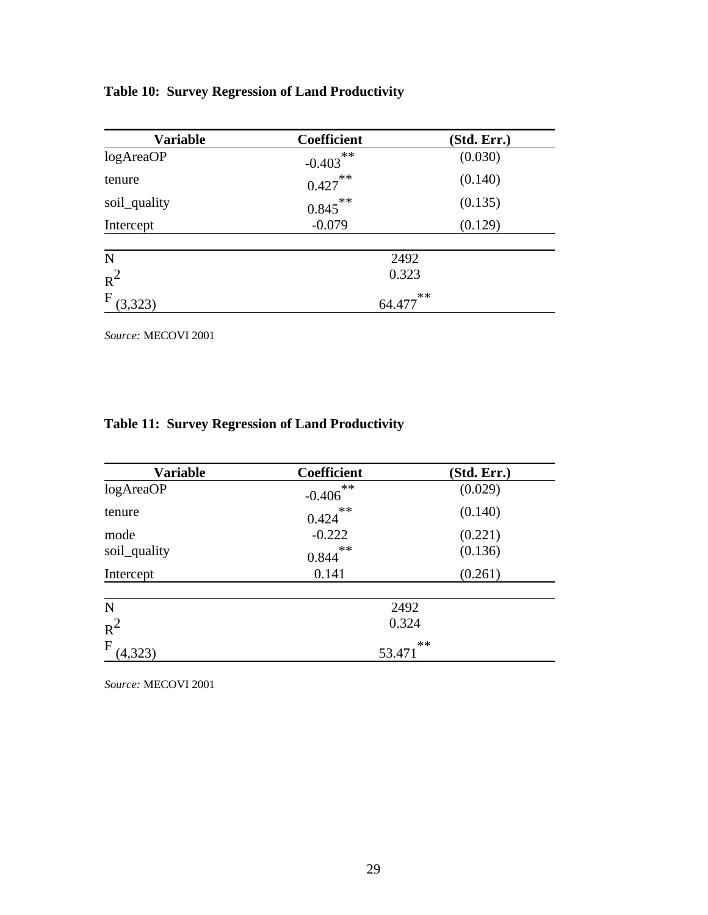|  |  |  |  | Table 10: Survey Regression of Land Productivity |
|--|--|--|--|--------------------------------------------------|
|--|--|--|--|--------------------------------------------------|

| <b>Variable</b>             | <b>Coefficient</b>  | (Std. Err.) |  |
|-----------------------------|---------------------|-------------|--|
| logAreaOP                   | $**$<br>$-0.403$    | (0.030)     |  |
| tenure                      | **<br>0.427         | (0.140)     |  |
| soil_quality                | $\ast\ast$<br>0.845 | (0.135)     |  |
| Intercept                   | $-0.079$            | (0.129)     |  |
| $\mathbf N$                 | 2492                |             |  |
| $R^2$                       | 0.323               |             |  |
| $\boldsymbol{F}$<br>(3,323) | **<br>64.477        |             |  |

# **Table 11: Survey Regression of Land Productivity**

| <b>Variable</b>        | <b>Coefficient</b> | (Std. Err.) |
|------------------------|--------------------|-------------|
| logAreaOP              | **<br>$-0.406$     | (0.029)     |
| tenure                 | **<br>0.424        | (0.140)     |
| mode                   | $-0.222$           | (0.221)     |
| soil_quality           | **<br>0.844        | (0.136)     |
| Intercept              | 0.141              | (0.261)     |
| $\overline{N}$         | 2492               |             |
| $R^2$                  | 0.324              |             |
| $\mathbf F$<br>(4,323) | $***$<br>53.471    |             |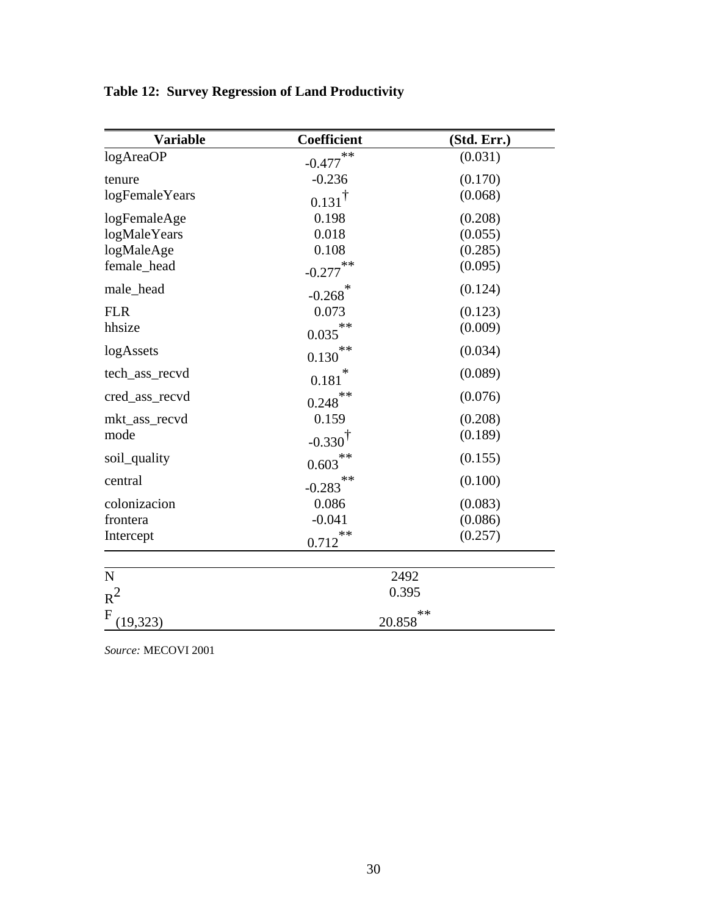| <b>Variable</b>           | <b>Coefficient</b>     | (Std. Err.) |
|---------------------------|------------------------|-------------|
| logAreaOP                 | **<br>$-0.477$         | (0.031)     |
| tenure                    | $-0.236$               | (0.170)     |
| logFemaleYears            | $0.131^{\dagger}$      | (0.068)     |
| logFemaleAge              | 0.198                  | (0.208)     |
| logMaleYears              | 0.018                  | (0.055)     |
| logMaleAge                | 0.108                  | (0.285)     |
| female_head               | **<br>$-0.277$         | (0.095)     |
| male_head                 | $-0.268$               | (0.124)     |
| <b>FLR</b>                | 0.073                  | (0.123)     |
| hhsize                    | **<br>0.035            | (0.009)     |
| logAssets                 | $0.130$ <sup>**</sup>  | (0.034)     |
| tech_ass_recvd            | ∗<br>0.181             | (0.089)     |
| cred_ass_recvd            | $\ast\ast$<br>0.248    | (0.076)     |
| mkt_ass_recvd             | 0.159                  | (0.208)     |
| mode                      | $-0.330^{\dagger}$     | (0.189)     |
| soil_quality              | $0.603***$             | (0.155)     |
| central                   | $\ast\ast$<br>$-0.283$ | (0.100)     |
| colonizacion              | 0.086                  | (0.083)     |
| frontera                  | $-0.041$               | (0.086)     |
| Intercept                 | $\ast\ast$<br>0.712    | (0.257)     |
| ${\bf N}$                 |                        |             |
|                           | 2492<br>0.395          |             |
| $R^2$                     |                        |             |
| $\mathbf{F}$<br>(19, 323) | 20.858                 |             |

**Table 12: Survey Regression of Land Productivity**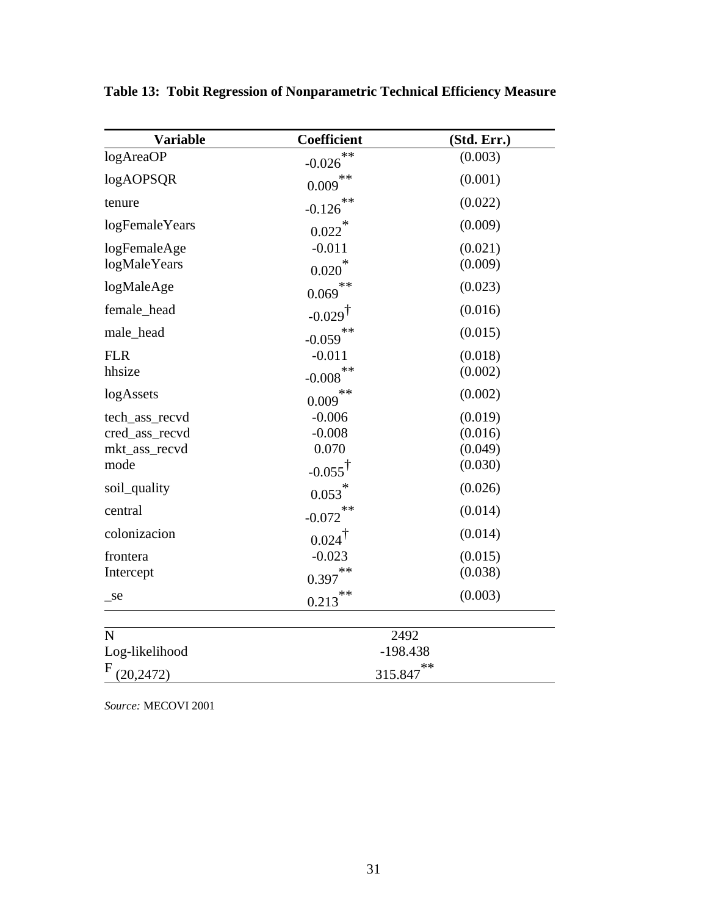| <b>Variable</b>            | Coefficient              | (Std. Err.) |
|----------------------------|--------------------------|-------------|
| logAreaOP                  | **<br>$-0.026$           | (0.003)     |
| logAOPSQR                  | $**$<br>0.009            | (0.001)     |
| tenure                     | **<br>$-0.126$           | (0.022)     |
| logFemaleYears             | 0.022                    | (0.009)     |
| logFemaleAge               | $-0.011$                 | (0.021)     |
| logMaleYears               | $\ast$<br>0.020          | (0.009)     |
| logMaleAge                 | $0.069$ **               | (0.023)     |
| female_head                | $-0.029$ <sup>T</sup>    | (0.016)     |
| male_head                  | **<br>$-0.059$           | (0.015)     |
| <b>FLR</b>                 | $-0.011$                 | (0.018)     |
| hhsize                     | **<br>$-0.008$           | (0.002)     |
| logAssets                  | $**$<br>0.009            | (0.002)     |
| tech_ass_recvd             | $-0.006$                 | (0.019)     |
| cred_ass_recvd             | $-0.008$                 | (0.016)     |
| mkt_ass_recvd              | 0.070                    | (0.049)     |
| mode                       | $-0.055^{\dagger}$       | (0.030)     |
| soil_quality               | $0.053^{*}$              | (0.026)     |
| central                    | ∗∗<br>$-0.072$           | (0.014)     |
| colonizacion               | $0.024$ <sup>T</sup>     | (0.014)     |
| frontera                   | $-0.023$                 | (0.015)     |
| Intercept                  | $\ast\ast$<br>0.397      | (0.038)     |
| $\mathbf{e}$               | $\underline{0.213}^{**}$ | (0.003)     |
| $\mathbf N$                | 2492                     |             |
| Log-likelihood             | $-198.438$               |             |
| $\mathbf{F}$<br>(20, 2472) | $**$<br>315.847          |             |

**Table 13: Tobit Regression of Nonparametric Technical Efficiency Measure**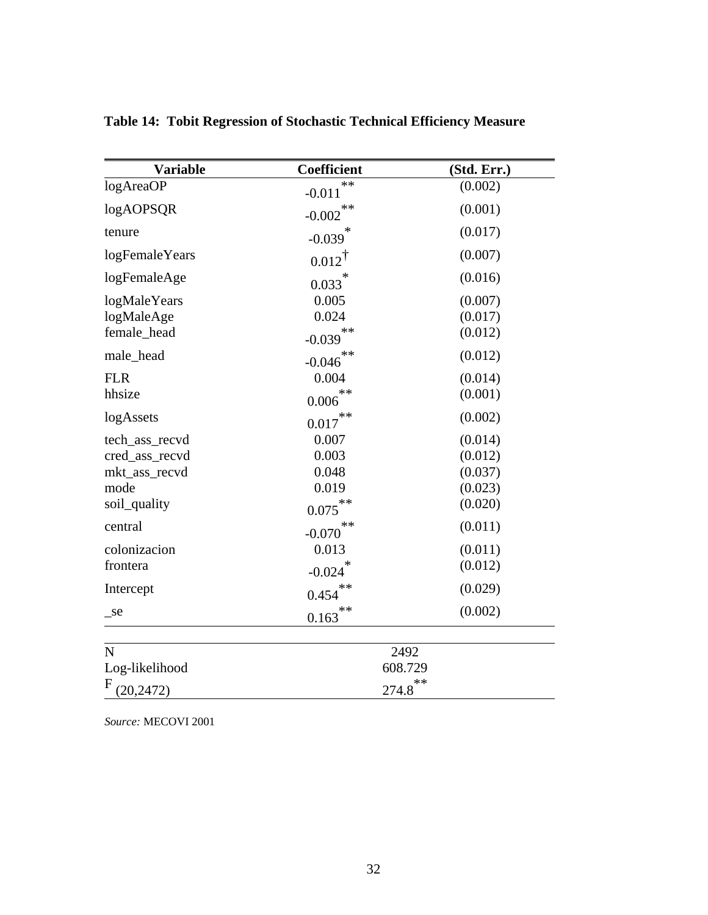| <b>Variable</b>            | Coefficient           | (Std. Err.) |
|----------------------------|-----------------------|-------------|
| logAreaOP                  | $**$<br>$-0.011$      | (0.002)     |
| logAOPSQR                  | **<br>$-0.002$        | (0.001)     |
| tenure                     | $-0.039$              | (0.017)     |
| logFemaleYears             | $0.012^{\dagger}$     | (0.007)     |
| logFemaleAge               | 0.033                 | (0.016)     |
| logMaleYears               | 0.005                 | (0.007)     |
| logMaleAge                 | 0.024                 | (0.017)     |
| female_head                | **<br>$-0.039$        | (0.012)     |
| male_head                  | $**$<br>$-0.046$      | (0.012)     |
| <b>FLR</b>                 | 0.004                 | (0.014)     |
| hhsize                     | $\ast\ast$<br>0.006   | (0.001)     |
| logAssets                  | $**$<br>0.017         | (0.002)     |
| tech_ass_recvd             | 0.007                 | (0.014)     |
| cred_ass_recvd             | 0.003                 | (0.012)     |
| mkt_ass_recvd              | 0.048                 | (0.037)     |
| mode                       | 0.019                 | (0.023)     |
| soil_quality               | **<br>0.075           | (0.020)     |
| central                    | $**$<br>$-0.070$      | (0.011)     |
| colonizacion               | 0.013                 | (0.011)     |
| frontera                   | ∗<br>$-0.024$         | (0.012)     |
| Intercept                  | **<br>0.454           | (0.029)     |
| $_{\rm e}$ se              | $\ast\ast$<br>0.163   | (0.002)     |
| $\mathbf N$                | 2492                  |             |
| Log-likelihood             | 608.729               |             |
| $\mathbf{F}$<br>(20, 2472) | $274.8$ <sup>**</sup> |             |

**Table 14: Tobit Regression of Stochastic Technical Efficiency Measure**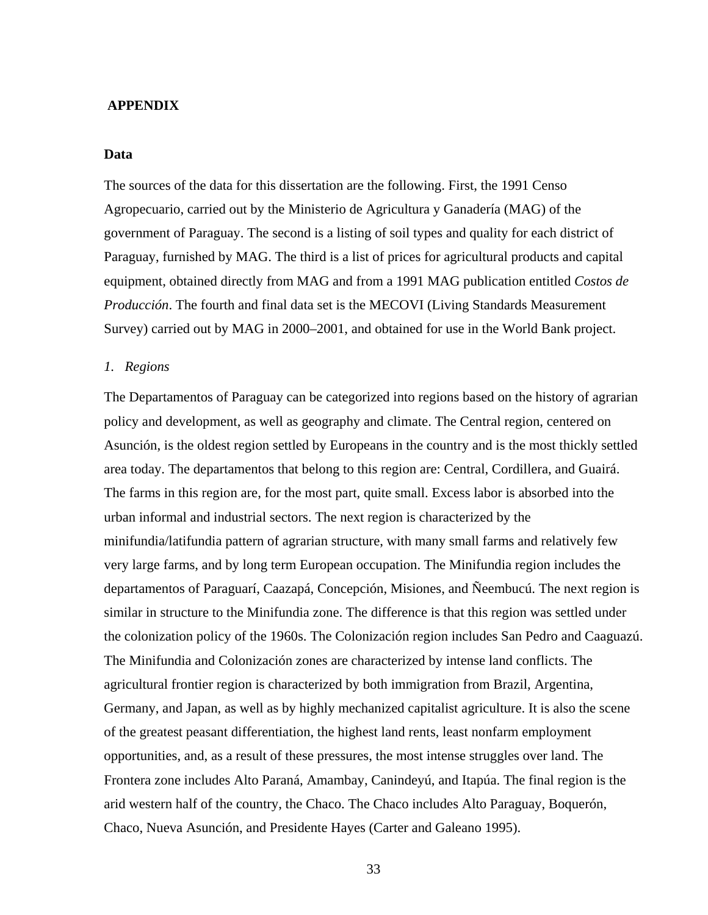### **APPENDIX**

### **Data**

The sources of the data for this dissertation are the following. First, the 1991 Censo Agropecuario, carried out by the Ministerio de Agricultura y Ganadería (MAG) of the government of Paraguay. The second is a listing of soil types and quality for each district of Paraguay, furnished by MAG. The third is a list of prices for agricultural products and capital equipment, obtained directly from MAG and from a 1991 MAG publication entitled *Costos de Producción*. The fourth and final data set is the MECOVI (Living Standards Measurement Survey) carried out by MAG in 2000–2001, and obtained for use in the World Bank project.

#### *1. Regions*

The Departamentos of Paraguay can be categorized into regions based on the history of agrarian policy and development, as well as geography and climate. The Central region, centered on Asunción, is the oldest region settled by Europeans in the country and is the most thickly settled area today. The departamentos that belong to this region are: Central, Cordillera, and Guairá. The farms in this region are, for the most part, quite small. Excess labor is absorbed into the urban informal and industrial sectors. The next region is characterized by the minifundia/latifundia pattern of agrarian structure, with many small farms and relatively few very large farms, and by long term European occupation. The Minifundia region includes the departamentos of Paraguarí, Caazapá, Concepción, Misiones, and Ñeembucú. The next region is similar in structure to the Minifundia zone. The difference is that this region was settled under the colonization policy of the 1960s. The Colonización region includes San Pedro and Caaguazú. The Minifundia and Colonización zones are characterized by intense land conflicts. The agricultural frontier region is characterized by both immigration from Brazil, Argentina, Germany, and Japan, as well as by highly mechanized capitalist agriculture. It is also the scene of the greatest peasant differentiation, the highest land rents, least nonfarm employment opportunities, and, as a result of these pressures, the most intense struggles over land. The Frontera zone includes Alto Paraná, Amambay, Canindeyú, and Itapúa. The final region is the arid western half of the country, the Chaco. The Chaco includes Alto Paraguay, Boquerón, Chaco, Nueva Asunción, and Presidente Hayes (Carter and Galeano 1995).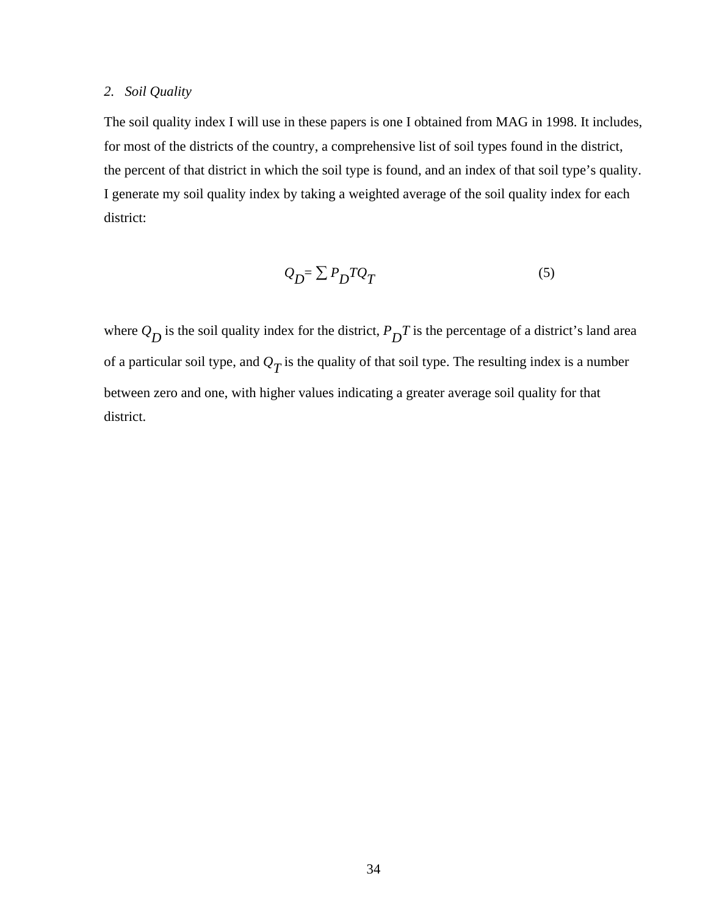### *2. Soil Quality*

The soil quality index I will use in these papers is one I obtained from MAG in 1998. It includes, for most of the districts of the country, a comprehensive list of soil types found in the district, the percent of that district in which the soil type is found, and an index of that soil type's quality. I generate my soil quality index by taking a weighted average of the soil quality index for each district:

$$
Q_D = \sum P_D T Q_T \tag{5}
$$

where  $Q_D$  is the soil quality index for the district,  $P_D T$  is the percentage of a district's land area of a particular soil type, and  $Q_T$  is the quality of that soil type. The resulting index is a number between zero and one, with higher values indicating a greater average soil quality for that district.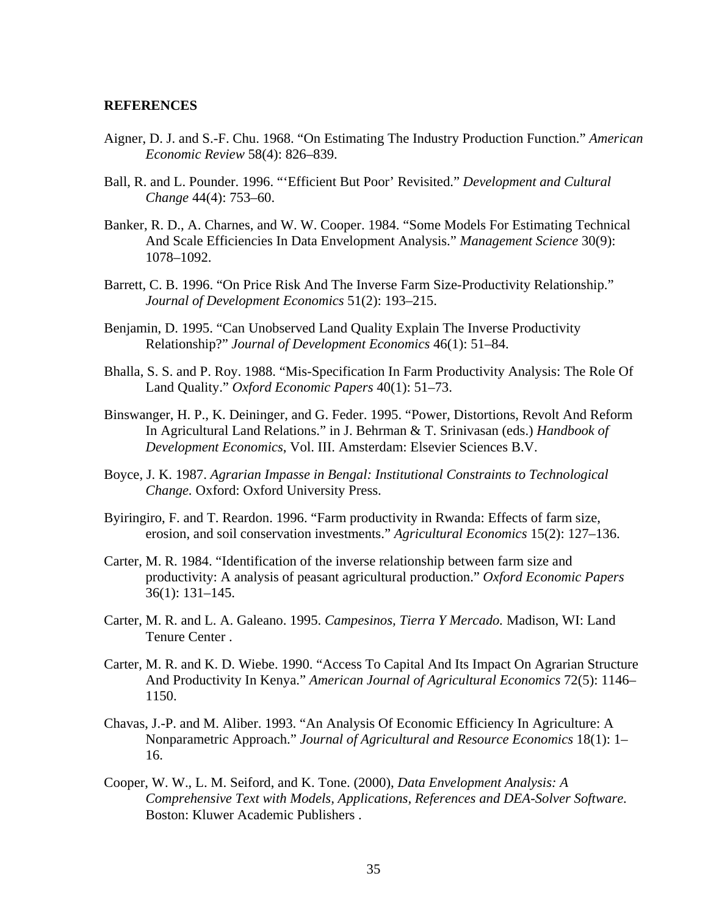#### **REFERENCES**

- Aigner, D. J. and S.-F. Chu. 1968. "On Estimating The Industry Production Function." *American Economic Review* 58(4): 826–839.
- Ball, R. and L. Pounder. 1996. "'Efficient But Poor' Revisited." *Development and Cultural Change* 44(4): 753–60.
- Banker, R. D., A. Charnes, and W. W. Cooper. 1984. "Some Models For Estimating Technical And Scale Efficiencies In Data Envelopment Analysis." *Management Science* 30(9): 1078–1092.
- Barrett, C. B. 1996. "On Price Risk And The Inverse Farm Size-Productivity Relationship." *Journal of Development Economics* 51(2): 193–215.
- Benjamin, D. 1995. "Can Unobserved Land Quality Explain The Inverse Productivity Relationship?" *Journal of Development Economics* 46(1): 51–84.
- Bhalla, S. S. and P. Roy. 1988. "Mis-Specification In Farm Productivity Analysis: The Role Of Land Quality." *Oxford Economic Papers* 40(1): 51–73.
- Binswanger, H. P., K. Deininger, and G. Feder. 1995. "Power, Distortions, Revolt And Reform In Agricultural Land Relations." in J. Behrman & T. Srinivasan (eds.) *Handbook of Development Economics*, Vol. III. Amsterdam: Elsevier Sciences B.V.
- Boyce, J. K. 1987. *Agrarian Impasse in Bengal: Institutional Constraints to Technological Change.* Oxford: Oxford University Press.
- Byiringiro, F. and T. Reardon. 1996. "Farm productivity in Rwanda: Effects of farm size, erosion, and soil conservation investments." *Agricultural Economics* 15(2): 127–136.
- Carter, M. R. 1984. "Identification of the inverse relationship between farm size and productivity: A analysis of peasant agricultural production." *Oxford Economic Papers* 36(1): 131–145.
- Carter, M. R. and L. A. Galeano. 1995. *Campesinos, Tierra Y Mercado.* Madison, WI: Land Tenure Center .
- Carter, M. R. and K. D. Wiebe. 1990. "Access To Capital And Its Impact On Agrarian Structure And Productivity In Kenya." *American Journal of Agricultural Economics* 72(5): 1146– 1150.
- Chavas, J.-P. and M. Aliber. 1993. "An Analysis Of Economic Efficiency In Agriculture: A Nonparametric Approach." *Journal of Agricultural and Resource Economics* 18(1): 1– 16.
- Cooper, W. W., L. M. Seiford, and K. Tone. (2000), *Data Envelopment Analysis: A Comprehensive Text with Models, Applications, References and DEA-Solver Software.* Boston: Kluwer Academic Publishers .